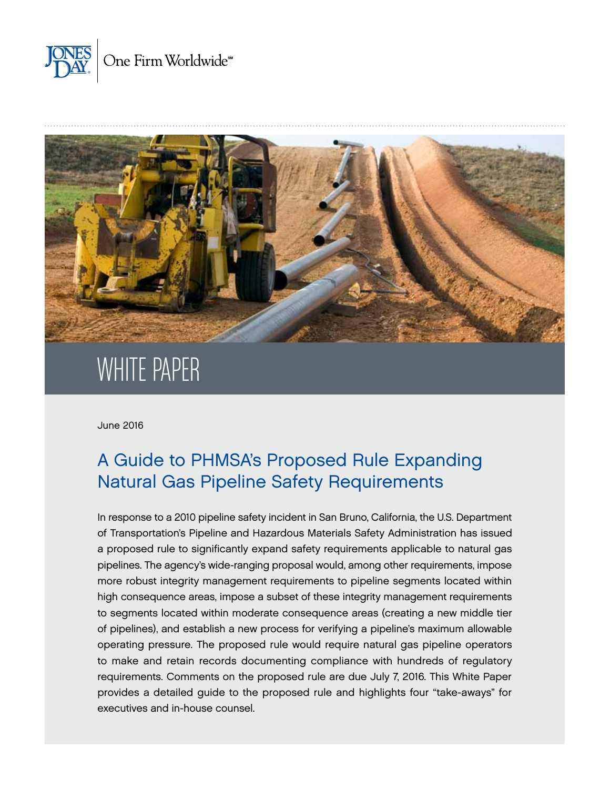



# WHITE PAPER

June 2016

## A Guide to PHMSA's Proposed Rule Expanding Natural Gas Pipeline Safety Requirements

In response to a 2010 pipeline safety incident in San Bruno, California, the U.S. Department of Transportation's Pipeline and Hazardous Materials Safety Administration has issued a proposed rule to significantly expand safety requirements applicable to natural gas pipelines. The agency's wide-ranging proposal would, among other requirements, impose more robust integrity management requirements to pipeline segments located within high consequence areas, impose a subset of these integrity management requirements to segments located within moderate consequence areas (creating a new middle tier of pipelines), and establish a new process for verifying a pipeline's maximum allowable operating pressure. The proposed rule would require natural gas pipeline operators to make and retain records documenting compliance with hundreds of regulatory requirements. Comments on the proposed rule are due July 7, 2016. This White Paper provides a detailed guide to the proposed rule and highlights four "take-aways" for executives and in-house counsel.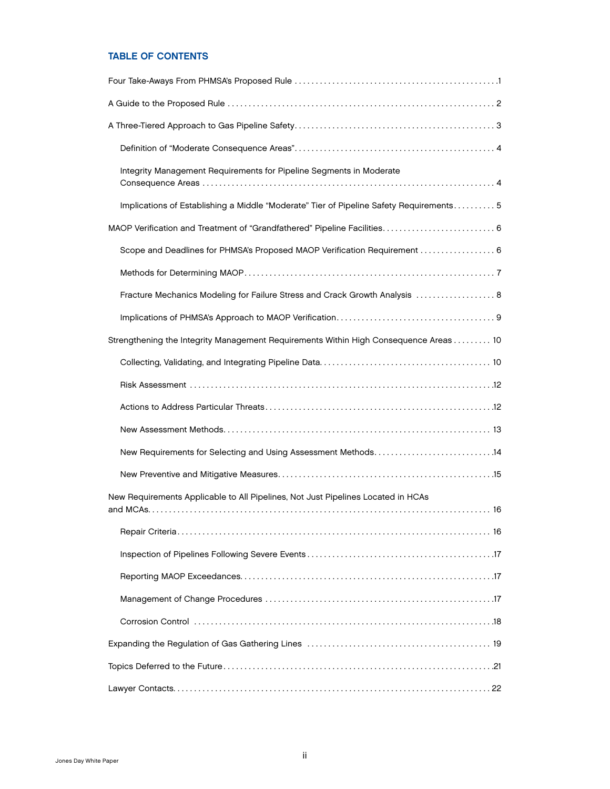## TABLE OF CONTENTS

| Integrity Management Requirements for Pipeline Segments in Moderate                     |
|-----------------------------------------------------------------------------------------|
| Implications of Establishing a Middle "Moderate" Tier of Pipeline Safety Requirements 5 |
| MAOP Verification and Treatment of "Grandfathered" Pipeline Facilities 6                |
| Scope and Deadlines for PHMSA's Proposed MAOP Verification Requirement  6               |
|                                                                                         |
| Fracture Mechanics Modeling for Failure Stress and Crack Growth Analysis  8             |
|                                                                                         |
| Strengthening the Integrity Management Requirements Within High Consequence Areas  10   |
|                                                                                         |
|                                                                                         |
|                                                                                         |
|                                                                                         |
| New Requirements for Selecting and Using Assessment Methods14                           |
|                                                                                         |
| New Requirements Applicable to All Pipelines, Not Just Pipelines Located in HCAs        |
|                                                                                         |
|                                                                                         |
|                                                                                         |
|                                                                                         |
|                                                                                         |
|                                                                                         |
|                                                                                         |
|                                                                                         |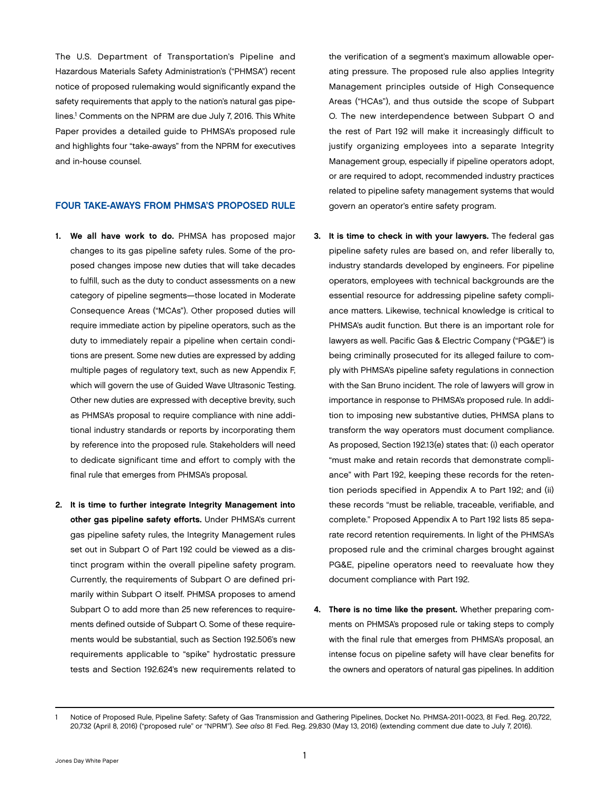<span id="page-2-0"></span>The U.S. Department of Transportation's Pipeline and Hazardous Materials Safety Administration's ("PHMSA") recent notice of proposed rulemaking would significantly expand the safety requirements that apply to the nation's natural gas pipelines.<sup>1</sup> Comments on the NPRM are due July 7, 2016. This White Paper provides a detailed guide to PHMSA's proposed rule and highlights four "take-aways" from the NPRM for executives and in-house counsel.

#### FOUR TAKE-AWAYS FROM PHMSA'S PROPOSED RULE

- 1. We all have work to do. PHMSA has proposed major changes to its gas pipeline safety rules. Some of the proposed changes impose new duties that will take decades to fulfill, such as the duty to conduct assessments on a new category of pipeline segments—those located in Moderate Consequence Areas ("MCAs"). Other proposed duties will require immediate action by pipeline operators, such as the duty to immediately repair a pipeline when certain conditions are present. Some new duties are expressed by adding multiple pages of regulatory text, such as new Appendix F, which will govern the use of Guided Wave Ultrasonic Testing. Other new duties are expressed with deceptive brevity, such as PHMSA's proposal to require compliance with nine additional industry standards or reports by incorporating them by reference into the proposed rule. Stakeholders will need to dedicate significant time and effort to comply with the final rule that emerges from PHMSA's proposal.
- 2. It is time to further integrate Integrity Management into other gas pipeline safety efforts. Under PHMSA's current gas pipeline safety rules, the Integrity Management rules set out in Subpart O of Part 192 could be viewed as a distinct program within the overall pipeline safety program. Currently, the requirements of Subpart O are defined primarily within Subpart O itself. PHMSA proposes to amend Subpart O to add more than 25 new references to requirements defined outside of Subpart O. Some of these requirements would be substantial, such as Section 192.506's new requirements applicable to "spike" hydrostatic pressure tests and Section 192.624's new requirements related to

the verification of a segment's maximum allowable operating pressure. The proposed rule also applies Integrity Management principles outside of High Consequence Areas ("HCAs"), and thus outside the scope of Subpart O. The new interdependence between Subpart O and the rest of Part 192 will make it increasingly difficult to justify organizing employees into a separate Integrity Management group, especially if pipeline operators adopt, or are required to adopt, recommended industry practices related to pipeline safety management systems that would govern an operator's entire safety program.

- 3. It is time to check in with your lawyers. The federal gas pipeline safety rules are based on, and refer liberally to, industry standards developed by engineers. For pipeline operators, employees with technical backgrounds are the essential resource for addressing pipeline safety compliance matters. Likewise, technical knowledge is critical to PHMSA's audit function. But there is an important role for lawyers as well. Pacific Gas & Electric Company ("PG&E") is being criminally prosecuted for its alleged failure to comply with PHMSA's pipeline safety regulations in connection with the San Bruno incident. The role of lawyers will grow in importance in response to PHMSA's proposed rule. In addition to imposing new substantive duties, PHMSA plans to transform the way operators must document compliance. As proposed, Section 192.13(e) states that: (i) each operator "must make and retain records that demonstrate compliance" with Part 192, keeping these records for the retention periods specified in Appendix A to Part 192; and (ii) these records "must be reliable, traceable, verifiable, and complete." Proposed Appendix A to Part 192 lists 85 separate record retention requirements. In light of the PHMSA's proposed rule and the criminal charges brought against PG&E, pipeline operators need to reevaluate how they document compliance with Part 192.
- 4. There is no time like the present. Whether preparing comments on PHMSA's proposed rule or taking steps to comply with the final rule that emerges from PHMSA's proposal, an intense focus on pipeline safety will have clear benefits for the owners and operators of natural gas pipelines. In addition

<sup>1</sup> Notice of Proposed Rule, Pipeline Safety: Safety of Gas Transmission and Gathering Pipelines, Docket No. PHMSA-2011-0023, 81 Fed. Reg. 20,722, 20,732 (April 8, 2016) ("proposed rule" or "NPRM"). *See also* 81 Fed. Reg. 29,830 (May 13, 2016) (extending comment due date to July 7, 2016).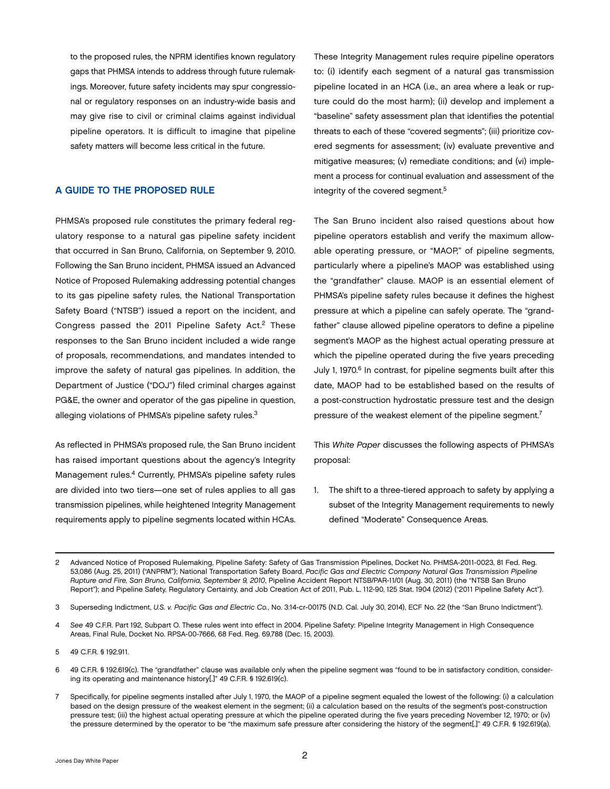<span id="page-3-0"></span>to the proposed rules, the NPRM identifies known regulatory gaps that PHMSA intends to address through future rulemakings. Moreover, future safety incidents may spur congressional or regulatory responses on an industry-wide basis and may give rise to civil or criminal claims against individual pipeline operators. It is difficult to imagine that pipeline safety matters will become less critical in the future.

### A GUIDE TO THE PROPOSED RULE

PHMSA's proposed rule constitutes the primary federal regulatory response to a natural gas pipeline safety incident that occurred in San Bruno, California, on September 9, 2010. Following the San Bruno incident, PHMSA issued an Advanced Notice of Proposed Rulemaking addressing potential changes to its gas pipeline safety rules, the National Transportation Safety Board ("NTSB") issued a report on the incident, and Congress passed the 2011 Pipeline Safety Act.<sup>2</sup> These responses to the San Bruno incident included a wide range of proposals, recommendations, and mandates intended to improve the safety of natural gas pipelines. In addition, the Department of Justice ("DOJ") filed criminal charges against PG&E, the owner and operator of the gas pipeline in question, alleging violations of PHMSA's pipeline safety rules.3

As reflected in PHMSA's proposed rule, the San Bruno incident has raised important questions about the agency's Integrity Management rules.4 Currently, PHMSA's pipeline safety rules are divided into two tiers—one set of rules applies to all gas transmission pipelines, while heightened Integrity Management requirements apply to pipeline segments located within HCAs.

These Integrity Management rules require pipeline operators to: (i) identify each segment of a natural gas transmission pipeline located in an HCA (i.e., an area where a leak or rupture could do the most harm); (ii) develop and implement a "baseline" safety assessment plan that identifies the potential threats to each of these "covered segments"; (iii) prioritize covered segments for assessment; (iv) evaluate preventive and mitigative measures; (v) remediate conditions; and (vi) implement a process for continual evaluation and assessment of the integrity of the covered segment.5

The San Bruno incident also raised questions about how pipeline operators establish and verify the maximum allowable operating pressure, or "MAOP," of pipeline segments, particularly where a pipeline's MAOP was established using the "grandfather" clause. MAOP is an essential element of PHMSA's pipeline safety rules because it defines the highest pressure at which a pipeline can safely operate. The "grandfather" clause allowed pipeline operators to define a pipeline segment's MAOP as the highest actual operating pressure at which the pipeline operated during the five years preceding July 1, 1970.<sup>6</sup> In contrast, for pipeline segments built after this date, MAOP had to be established based on the results of a post-construction hydrostatic pressure test and the design pressure of the weakest element of the pipeline segment.<sup>7</sup>

This *White Paper* discusses the following aspects of PHMSA's proposal:

1. The shift to a three-tiered approach to safety by applying a subset of the Integrity Management requirements to newly defined "Moderate" Consequence Areas.

3 Superseding Indictment, *U.S. v. Pacific Gas and Electric Co.*, No. 3:14-cr-00175 (N.D. Cal. July 30, 2014), ECF No. 22 (the "San Bruno Indictment").

<sup>2</sup> Advanced Notice of Proposed Rulemaking, Pipeline Safety: Safety of Gas Transmission Pipelines, Docket No. PHMSA-2011-0023, 81 Fed. Reg. 53,086 (Aug. 25, 2011) ("ANPRM"); National Transportation Safety Board, *Pacific Gas and Electric Company Natural Gas Transmission Pipeline Rupture and Fire, San Bruno, California, September 9, 2010*, Pipeline Accident Report NTSB/PAR-11/01 (Aug. 30, 2011) (the "NTSB San Bruno Report"); and Pipeline Safety, Regulatory Certainty, and Job Creation Act of 2011, Pub. L. 112-90, 125 Stat. 1904 (2012) ("2011 Pipeline Safety Act").

<sup>4</sup> *See* 49 C.F.R. Part 192, Subpart O. These rules went into effect in 2004. Pipeline Safety: Pipeline Integrity Management in High Consequence Areas, Final Rule, Docket No. RPSA-00-7666, 68 Fed. Reg. 69,788 (Dec. 15, 2003).

<sup>5</sup> 49 C.F.R. § 192.911.

<sup>6</sup> 49 C.F.R. § 192.619(c). The "grandfather" clause was available only when the pipeline segment was "found to be in satisfactory condition, considering its operating and maintenance history[.]" 49 C.F.R. § 192.619(c).

<sup>7</sup> Specifically, for pipeline segments installed after July 1, 1970, the MAOP of a pipeline segment equaled the lowest of the following: (i) a calculation based on the design pressure of the weakest element in the segment; (ii) a calculation based on the results of the segment's post-construction pressure test; (iii) the highest actual operating pressure at which the pipeline operated during the five years preceding November 12, 1970; or (iv) the pressure determined by the operator to be "the maximum safe pressure after considering the history of the segment[.]" 49 C.F.R. § 192.619(a).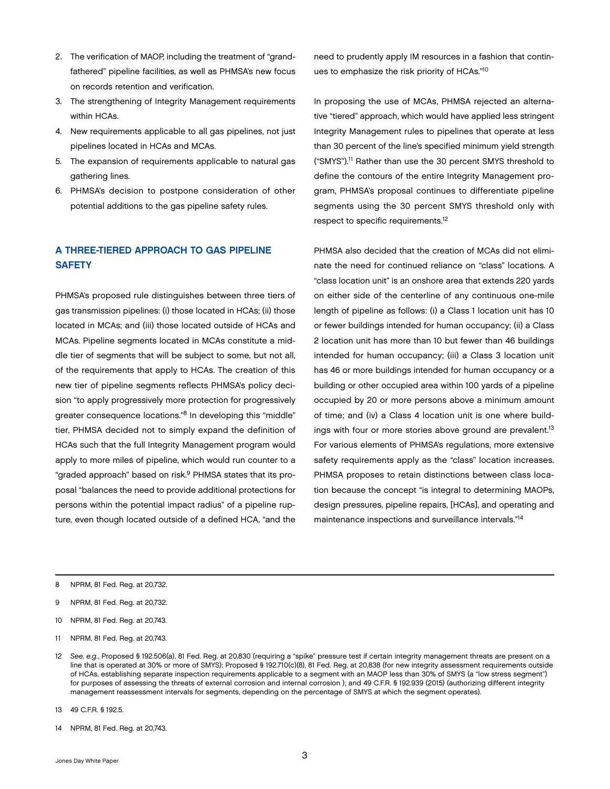- <span id="page-4-0"></span>2. The verification of MAOP, including the treatment of "grandfathered" pipeline facilities, as well as PHMSA's new focus on records retention and verification.
- 3. The strengthening of Integrity Management requirements within HCAs.
- 4. New requirements applicable to all gas pipelines, not just pipelines located in HCAs and MCAs.
- 5. The expansion of requirements applicable to natural gas gathering lines.
- 6. PHMSA's decision to postpone consideration of other potential additions to the gas pipeline safety rules.

## A THREE-TIERED APPROACH TO GAS PIPELINE **SAFETY**

PHMSA's proposed rule distinguishes between three tiers of gas transmission pipelines: (i) those located in HCAs; (ii) those located in MCAs; and (iii) those located outside of HCAs and MCAs. Pipeline segments located in MCAs constitute a middle tier of segments that will be subject to some, but not all, of the requirements that apply to HCAs. The creation of this new tier of pipeline segments reflects PHMSA's policy decision "to apply progressively more protection for progressively greater consequence locations."8 In developing this "middle" tier, PHMSA decided not to simply expand the definition of HCAs such that the full Integrity Management program would apply to more miles of pipeline, which would run counter to a "graded approach" based on risk.9 PHMSA states that its proposal "balances the need to provide additional protections for persons within the potential impact radius" of a pipeline rupture, even though located outside of a defined HCA, "and the

need to prudently apply IM resources in a fashion that continues to emphasize the risk priority of HCAs."10

In proposing the use of MCAs, PHMSA rejected an alternative "tiered" approach, which would have applied less stringent Integrity Management rules to pipelines that operate at less than 30 percent of the line's specified minimum yield strength ("SMYS").11 Rather than use the 30 percent SMYS threshold to define the contours of the entire Integrity Management program, PHMSA's proposal continues to differentiate pipeline segments using the 30 percent SMYS threshold only with respect to specific requirements.12

PHMSA also decided that the creation of MCAs did not eliminate the need for continued reliance on "class" locations. A "class location unit" is an onshore area that extends 220 yards on either side of the centerline of any continuous one-mile length of pipeline as follows: (i) a Class 1 location unit has 10 or fewer buildings intended for human occupancy; (ii) a Class 2 location unit has more than 10 but fewer than 46 buildings intended for human occupancy; (iii) a Class 3 location unit has 46 or more buildings intended for human occupancy or a building or other occupied area within 100 yards of a pipeline occupied by 20 or more persons above a minimum amount of time; and (iv) a Class 4 location unit is one where buildings with four or more stories above ground are prevalent.<sup>13</sup> For various elements of PHMSA's regulations, more extensive safety requirements apply as the "class" location increases. PHMSA proposes to retain distinctions between class location because the concept "is integral to determining MAOPs, design pressures, pipeline repairs, [HCAs], and operating and maintenance inspections and surveillance intervals."14

- 10 NPRM, 81 Fed. Reg. at 20,743.
- 11 NPRM, 81 Fed. Reg. at 20,743.

- 13 49 C.F.R. § 192.5.
- 14 NPRM, 81 Fed. Reg. at 20,743.

<sup>8</sup> NPRM, 81 Fed. Reg. at 20,732.

<sup>9</sup> NPRM, 81 Fed. Reg. at 20,732.

<sup>12</sup> *See, e.g.*, Proposed § 192.506(a), 81 Fed. Reg. at 20,830 (requiring a "spike" pressure test if certain integrity management threats are present on a line that is operated at 30% or more of SMYS); Proposed § 192.710(c)(8), 81 Fed. Reg. at 20,838 (for new integrity assessment requirements outside of HCAs, establishing separate inspection requirements applicable to a segment with an MAOP less than 30% of SMYS (a "low stress segment") for purposes of assessing the threats of external corrosion and internal corrosion ); and 49 C.F.R. § 192.939 (2015) (authorizing different integrity management reassessment intervals for segments, depending on the percentage of SMYS at which the segment operates).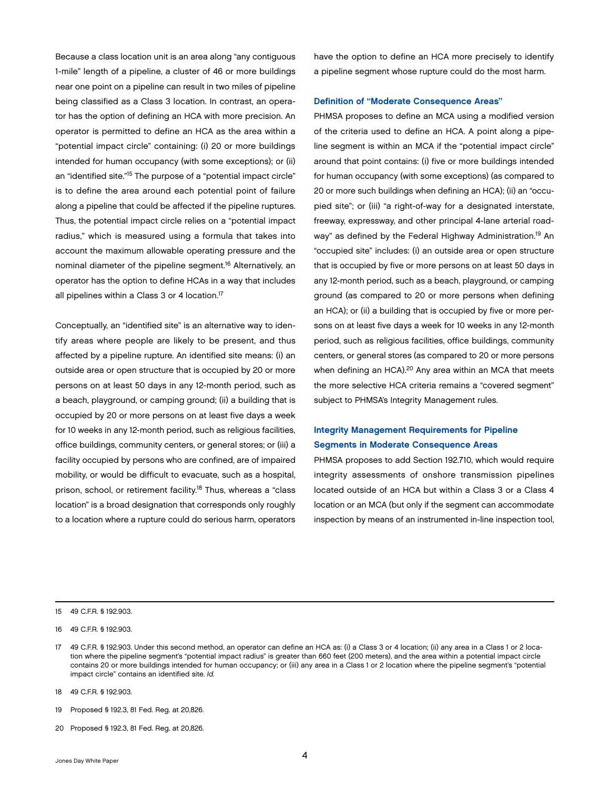<span id="page-5-0"></span>Because a class location unit is an area along "any contiguous 1-mile" length of a pipeline, a cluster of 46 or more buildings near one point on a pipeline can result in two miles of pipeline being classified as a Class 3 location. In contrast, an operator has the option of defining an HCA with more precision. An operator is permitted to define an HCA as the area within a "potential impact circle" containing: (i) 20 or more buildings intended for human occupancy (with some exceptions); or (ii) an "identified site."15 The purpose of a "potential impact circle" is to define the area around each potential point of failure along a pipeline that could be affected if the pipeline ruptures. Thus, the potential impact circle relies on a "potential impact radius," which is measured using a formula that takes into account the maximum allowable operating pressure and the nominal diameter of the pipeline segment.16 Alternatively, an operator has the option to define HCAs in a way that includes all pipelines within a Class 3 or 4 location.<sup>17</sup>

Conceptually, an "identified site" is an alternative way to identify areas where people are likely to be present, and thus affected by a pipeline rupture. An identified site means: (i) an outside area or open structure that is occupied by 20 or more persons on at least 50 days in any 12-month period, such as a beach, playground, or camping ground; (ii) a building that is occupied by 20 or more persons on at least five days a week for 10 weeks in any 12-month period, such as religious facilities, office buildings, community centers, or general stores; or (iii) a facility occupied by persons who are confined, are of impaired mobility, or would be difficult to evacuate, such as a hospital, prison, school, or retirement facility.18 Thus, whereas a "class location" is a broad designation that corresponds only roughly to a location where a rupture could do serious harm, operators

have the option to define an HCA more precisely to identify a pipeline segment whose rupture could do the most harm.

#### Definition of "Moderate Consequence Areas"

PHMSA proposes to define an MCA using a modified version of the criteria used to define an HCA. A point along a pipeline segment is within an MCA if the "potential impact circle" around that point contains: (i) five or more buildings intended for human occupancy (with some exceptions) (as compared to 20 or more such buildings when defining an HCA); (ii) an "occupied site"; or (iii) "a right-of-way for a designated interstate, freeway, expressway, and other principal 4-lane arterial roadway" as defined by the Federal Highway Administration.<sup>19</sup> An "occupied site" includes: (i) an outside area or open structure that is occupied by five or more persons on at least 50 days in any 12-month period, such as a beach, playground, or camping ground (as compared to 20 or more persons when defining an HCA); or (ii) a building that is occupied by five or more persons on at least five days a week for 10 weeks in any 12-month period, such as religious facilities, office buildings, community centers, or general stores (as compared to 20 or more persons when defining an HCA).<sup>20</sup> Any area within an MCA that meets the more selective HCA criteria remains a "covered segment" subject to PHMSA's Integrity Management rules.

## Integrity Management Requirements for Pipeline Segments in Moderate Consequence Areas

PHMSA proposes to add Section 192.710, which would require integrity assessments of onshore transmission pipelines located outside of an HCA but within a Class 3 or a Class 4 location or an MCA (but only if the segment can accommodate inspection by means of an instrumented in-line inspection tool,

20 Proposed § 192.3, 81 Fed. Reg. at 20,826.

<sup>15</sup> 49 C.F.R. § 192.903.

<sup>16 49</sup> C.F.R. § 192.903.

<sup>17</sup> 49 C.F.R. § 192.903. Under this second method, an operator can define an HCA as: (i) a Class 3 or 4 location; (ii) any area in a Class 1 or 2 location where the pipeline segment's "potential impact radius" is greater than 660 feet (200 meters), and the area within a potential impact circle contains 20 or more buildings intended for human occupancy; or (iii) any area in a Class 1 or 2 location where the pipeline segment's "potential impact circle" contains an identified site. *Id.*

<sup>18</sup> 49 C.F.R. § 192.903.

<sup>19</sup> Proposed § 192.3, 81 Fed. Reg. at 20,826.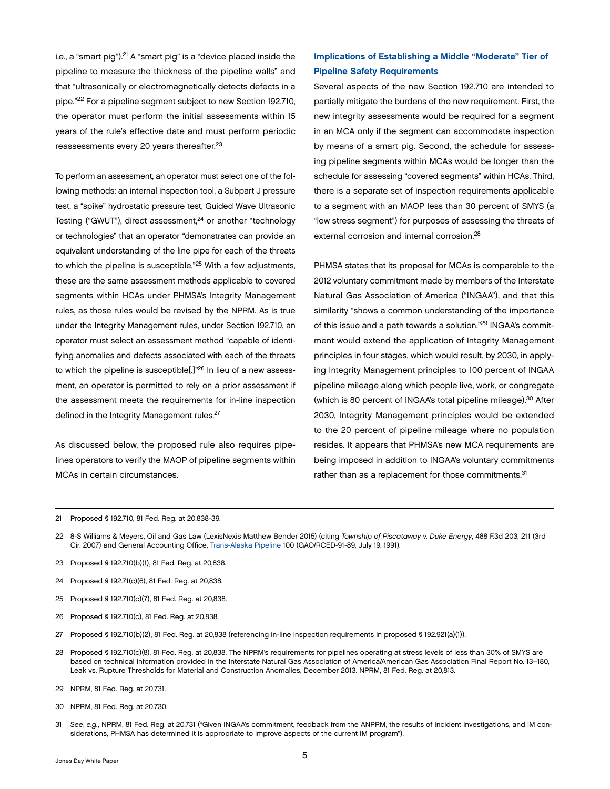<span id="page-6-0"></span>i.e., a "smart pig").<sup>21</sup> A "smart pig" is a "device placed inside the pipeline to measure the thickness of the pipeline walls" and that "ultrasonically or electromagnetically detects defects in a pipe."22 For a pipeline segment subject to new Section 192.710, the operator must perform the initial assessments within 15 years of the rule's effective date and must perform periodic reassessments every 20 years thereafter.23

To perform an assessment, an operator must select one of the following methods: an internal inspection tool, a Subpart J pressure test, a "spike" hydrostatic pressure test, Guided Wave Ultrasonic Testing ("GWUT"), direct assessment,<sup>24</sup> or another "technology or technologies" that an operator "demonstrates can provide an equivalent understanding of the line pipe for each of the threats to which the pipeline is susceptible."25 With a few adjustments, these are the same assessment methods applicable to covered segments within HCAs under PHMSA's Integrity Management rules, as those rules would be revised by the NPRM. As is true under the Integrity Management rules, under Section 192.710, an operator must select an assessment method "capable of identifying anomalies and defects associated with each of the threats to which the pipeline is susceptible[.]"26 In lieu of a new assessment, an operator is permitted to rely on a prior assessment if the assessment meets the requirements for in-line inspection defined in the Integrity Management rules.<sup>27</sup>

As discussed below, the proposed rule also requires pipelines operators to verify the MAOP of pipeline segments within MCAs in certain circumstances.

## Implications of Establishing a Middle "Moderate" Tier of Pipeline Safety Requirements

Several aspects of the new Section 192.710 are intended to partially mitigate the burdens of the new requirement. First, the new integrity assessments would be required for a segment in an MCA only if the segment can accommodate inspection by means of a smart pig. Second, the schedule for assessing pipeline segments within MCAs would be longer than the schedule for assessing "covered segments" within HCAs. Third, there is a separate set of inspection requirements applicable to a segment with an MAOP less than 30 percent of SMYS (a "low stress segment") for purposes of assessing the threats of external corrosion and internal corrosion.28

PHMSA states that its proposal for MCAs is comparable to the 2012 voluntary commitment made by members of the Interstate Natural Gas Association of America ("INGAA"), and that this similarity "shows a common understanding of the importance of this issue and a path towards a solution."29 INGAA's commitment would extend the application of Integrity Management principles in four stages, which would result, by 2030, in applying Integrity Management principles to 100 percent of INGAA pipeline mileage along which people live, work, or congregate (which is 80 percent of INGAA's total pipeline mileage).30 After 2030, Integrity Management principles would be extended to the 20 percent of pipeline mileage where no population resides. It appears that PHMSA's new MCA requirements are being imposed in addition to INGAA's voluntary commitments rather than as a replacement for those commitments.<sup>31</sup>

- 23 Proposed § 192.710(b)(1), 81 Fed. Reg. at 20,838.
- 24 Proposed § 192.71(c)(6), 81 Fed. Reg. at 20,838.
- 25 Proposed § 192.710(c)(7), 81 Fed. Reg. at 20,838.
- 26 Proposed § 192.710(c), 81 Fed. Reg. at 20,838.
- 27 Proposed § 192.710(b)(2), 81 Fed. Reg. at 20,838 (referencing in-line inspection requirements in proposed § 192.921(a)(1)).
- 28 Proposed § 192.710(c)(8), 81 Fed. Reg. at 20,838. The NPRM's requirements for pipelines operating at stress levels of less than 30% of SMYS are based on technical information provided in the Interstate Natural Gas Association of America/American Gas Association Final Report No. 13–180, Leak vs. Rupture Thresholds for Material and Construction Anomalies, December 2013. NPRM, 81 Fed. Reg. at 20,813.
- 29 NPRM, 81 Fed. Reg. at 20,731.
- 30 NPRM, 81 Fed. Reg. at 20,730.
- 31 *See*, *e.g.*, NPRM, 81 Fed. Reg. at 20,731 ("Given INGAA's commitment, feedback from the ANPRM, the results of incident investigations, and IM considerations, PHMSA has determined it is appropriate to improve aspects of the current IM program").

<sup>21</sup> Proposed § 192.710, 81 Fed. Reg. at 20,838-39.

<sup>22</sup> 8-S Williams & Meyers, Oil and Gas Law (LexisNexis Matthew Bender 2015) (citing *Township of Piscataway v. Duke Energy*, 488 F.3d 203, 211 (3rd Cir. 2007) and General Accounting Office, [Trans-Alaska Pipeline](http://gao.gov/assets/160/150889.pdf) 100 (GAO/RCED-91-89, July 19, 1991).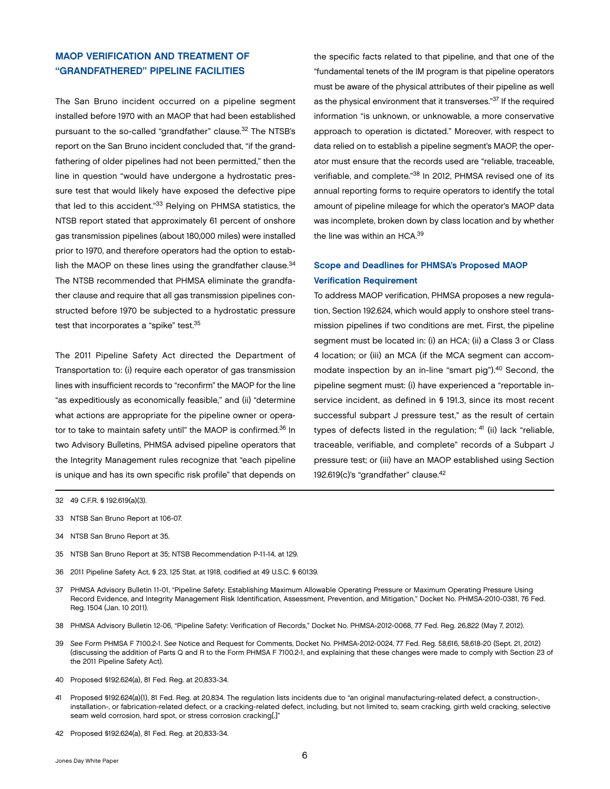## <span id="page-7-0"></span>MAOP VERIFICATION AND TREATMENT OF "GRANDFATHERED" PIPELINE FACILITIES

The San Bruno incident occurred on a pipeline segment installed before 1970 with an MAOP that had been established pursuant to the so-called "grandfather" clause.<sup>32</sup> The NTSB's report on the San Bruno incident concluded that, "if the grandfathering of older pipelines had not been permitted," then the line in question "would have undergone a hydrostatic pressure test that would likely have exposed the defective pipe that led to this accident."33 Relying on PHMSA statistics, the NTSB report stated that approximately 61 percent of onshore gas transmission pipelines (about 180,000 miles) were installed prior to 1970, and therefore operators had the option to establish the MAOP on these lines using the grandfather clause.<sup>34</sup> The NTSB recommended that PHMSA eliminate the grandfather clause and require that all gas transmission pipelines constructed before 1970 be subjected to a hydrostatic pressure test that incorporates a "spike" test.<sup>35</sup>

The 2011 Pipeline Safety Act directed the Department of Transportation to: (i) require each operator of gas transmission lines with insufficient records to "reconfirm" the MAOP for the line "as expeditiously as economically feasible," and (ii) "determine what actions are appropriate for the pipeline owner or operator to take to maintain safety until" the MAOP is confirmed.36 In two Advisory Bulletins, PHMSA advised pipeline operators that the Integrity Management rules recognize that "each pipeline is unique and has its own specific risk profile" that depends on

the specific facts related to that pipeline, and that one of the "fundamental tenets of the IM program is that pipeline operators must be aware of the physical attributes of their pipeline as well as the physical environment that it transverses."37 If the required information "is unknown, or unknowable, a more conservative approach to operation is dictated." Moreover, with respect to data relied on to establish a pipeline segment's MAOP, the operator must ensure that the records used are "reliable, traceable, verifiable, and complete."38 In 2012, PHMSA revised one of its annual reporting forms to require operators to identify the total amount of pipeline mileage for which the operator's MAOP data was incomplete, broken down by class location and by whether the line was within an HCA.39

## Scope and Deadlines for PHMSA's Proposed MAOP Verification Requirement

To address MAOP verification, PHMSA proposes a new regulation, Section 192.624, which would apply to onshore steel transmission pipelines if two conditions are met. First, the pipeline segment must be located in: (i) an HCA; (ii) a Class 3 or Class 4 location; or (iii) an MCA (if the MCA segment can accommodate inspection by an in-line "smart pig").<sup>40</sup> Second, the pipeline segment must: (i) have experienced a "reportable inservice incident, as defined in § 191.3, since its most recent successful subpart J pressure test," as the result of certain types of defects listed in the regulation; <sup>41</sup> (ii) lack "reliable, traceable, verifiable, and complete" records of a Subpart J pressure test; or (iii) have an MAOP established using Section 192.619(c)'s "grandfather" clause.42

- 32 49 C.F.R. § 192.619(a)(3).
- 33 NTSB San Bruno Report at 106-07.
- 34 NTSB San Bruno Report at 35.
- 35 NTSB San Bruno Report at 35; NTSB Recommendation P-11-14, at 129.
- 36 2011 Pipeline Safety Act, § 23, 125 Stat. at 1918, codified at 49 U.S.C. § 60139.
- 37 PHMSA Advisory Bulletin 11-01, "Pipeline Safety: Establishing Maximum Allowable Operating Pressure or Maximum Operating Pressure Using Record Evidence, and Integrity Management Risk Identification, Assessment, Prevention, and Mitigation," Docket No. PHMSA-2010-0381, 76 Fed. Reg. 1504 (Jan. 10 2011).
- 38 PHMSA Advisory Bulletin 12-06, "Pipeline Safety: Verification of Records," Docket No. PHMSA-2012-0068, 77 Fed. Reg. 26,822 (May 7, 2012).
- 39 *See* Form PHMSA F 7100.2-1. *See* Notice and Request for Comments, Docket No. PHMSA-2012-0024, 77 Fed. Reg. 58,616, 58,618-20 (Sept. 21, 2012) (discussing the addition of Parts Q and R to the Form PHMSA F 7100.2-1, and explaining that these changes were made to comply with Section 23 of the 2011 Pipeline Safety Act).
- 40 Proposed §192.624(a), 81 Fed. Reg. at 20,833-34.
- 41 Proposed §192.624(a)(1), 81 Fed. Reg. at 20,834. The regulation lists incidents due to "an original manufacturing-related defect, a construction-, installation-, or fabrication-related defect, or a cracking-related defect, including, but not limited to, seam cracking, girth weld cracking, selective seam weld corrosion, hard spot, or stress corrosion cracking[.]"
- 42 Proposed §192.624(a), 81 Fed. Reg. at 20,833-34.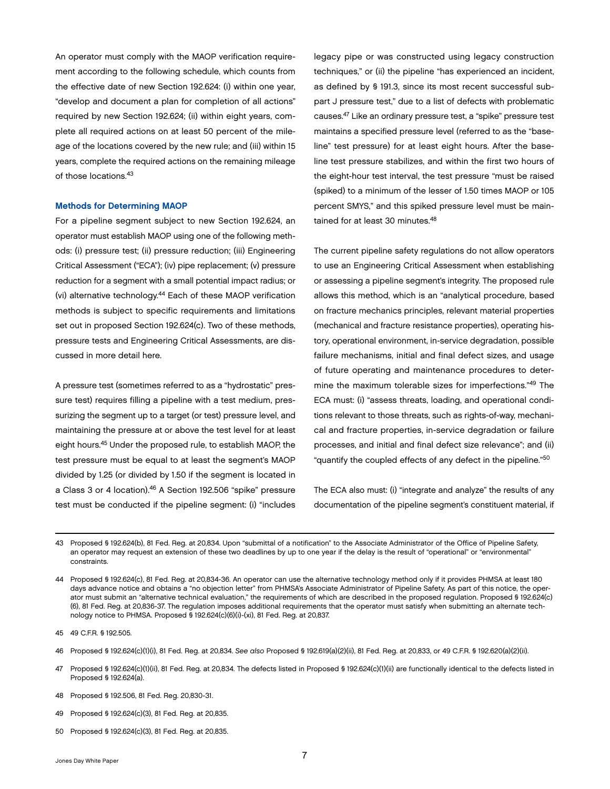<span id="page-8-0"></span>An operator must comply with the MAOP verification requirement according to the following schedule, which counts from the effective date of new Section 192.624: (i) within one year, "develop and document a plan for completion of all actions" required by new Section 192.624; (ii) within eight years, complete all required actions on at least 50 percent of the mileage of the locations covered by the new rule; and (iii) within 15 years, complete the required actions on the remaining mileage of those locations.43

#### Methods for Determining MAOP

For a pipeline segment subject to new Section 192.624, an operator must establish MAOP using one of the following methods: (i) pressure test; (ii) pressure reduction; (iii) Engineering Critical Assessment ("ECA"); (iv) pipe replacement; (v) pressure reduction for a segment with a small potential impact radius; or (vi) alternative technology.44 Each of these MAOP verification methods is subject to specific requirements and limitations set out in proposed Section 192.624(c). Two of these methods, pressure tests and Engineering Critical Assessments, are discussed in more detail here.

A pressure test (sometimes referred to as a "hydrostatic" pressure test) requires filling a pipeline with a test medium, pressurizing the segment up to a target (or test) pressure level, and maintaining the pressure at or above the test level for at least eight hours.45 Under the proposed rule, to establish MAOP, the test pressure must be equal to at least the segment's MAOP divided by 1.25 (or divided by 1.50 if the segment is located in a Class 3 or 4 location).46 A Section 192.506 "spike" pressure test must be conducted if the pipeline segment: (i) "includes

legacy pipe or was constructed using legacy construction techniques," or (ii) the pipeline "has experienced an incident, as defined by § 191.3, since its most recent successful subpart J pressure test," due to a list of defects with problematic causes.47 Like an ordinary pressure test, a "spike" pressure test maintains a specified pressure level (referred to as the "baseline" test pressure) for at least eight hours. After the baseline test pressure stabilizes, and within the first two hours of the eight-hour test interval, the test pressure "must be raised (spiked) to a minimum of the lesser of 1.50 times MAOP or 105 percent SMYS," and this spiked pressure level must be maintained for at least 30 minutes.<sup>48</sup>

The current pipeline safety regulations do not allow operators to use an Engineering Critical Assessment when establishing or assessing a pipeline segment's integrity. The proposed rule allows this method, which is an "analytical procedure, based on fracture mechanics principles, relevant material properties (mechanical and fracture resistance properties), operating history, operational environment, in-service degradation, possible failure mechanisms, initial and final defect sizes, and usage of future operating and maintenance procedures to determine the maximum tolerable sizes for imperfections."49 The ECA must: (i) "assess threats, loading, and operational conditions relevant to those threats, such as rights-of-way, mechanical and fracture properties, in-service degradation or failure processes, and initial and final defect size relevance"; and (ii) "quantify the coupled effects of any defect in the pipeline."<sup>50</sup>

The ECA also must: (i) "integrate and analyze" the results of any documentation of the pipeline segment's constituent material, if

45 49 C.F.R. § 192.505.

46 Proposed § 192.624(c)(1)(i), 81 Fed. Reg. at 20,834. *See also* Proposed § 192.619(a)(2)(ii), 81 Fed. Reg. at 20,833, or 49 C.F.R. § 192.620(a)(2)(ii).

- 47 Proposed § 192.624(c)(1)(ii), 81 Fed. Reg. at 20,834. The defects listed in Proposed § 192.624(c)(1)(ii) are functionally identical to the defects listed in Proposed § 192.624(a).
- 48 Proposed § 192.506, 81 Fed. Reg. 20,830-31.
- 49 Proposed § 192.624(c)(3), 81 Fed. Reg. at 20,835.
- 50 Proposed § 192.624(c)(3), 81 Fed. Reg. at 20,835.

<sup>43</sup> Proposed § 192.624(b), 81 Fed. Reg. at 20,834. Upon "submittal of a notification" to the Associate Administrator of the Office of Pipeline Safety, an operator may request an extension of these two deadlines by up to one year if the delay is the result of "operational" or "environmental" constraints.

<sup>44</sup> Proposed § 192.624(c), 81 Fed. Reg. at 20,834-36. An operator can use the alternative technology method only if it provides PHMSA at least 180 days advance notice and obtains a "no objection letter" from PHMSA's Associate Administrator of Pipeline Safety. As part of this notice, the operator must submit an "alternative technical evaluation," the requirements of which are described in the proposed regulation. Proposed § 192.624(c) (6), 81 Fed. Reg. at 20,836-37. The regulation imposes additional requirements that the operator must satisfy when submitting an alternate technology notice to PHMSA. Proposed § 192.624(c)(6)(i)-(xi), 81 Fed. Reg. at 20,837.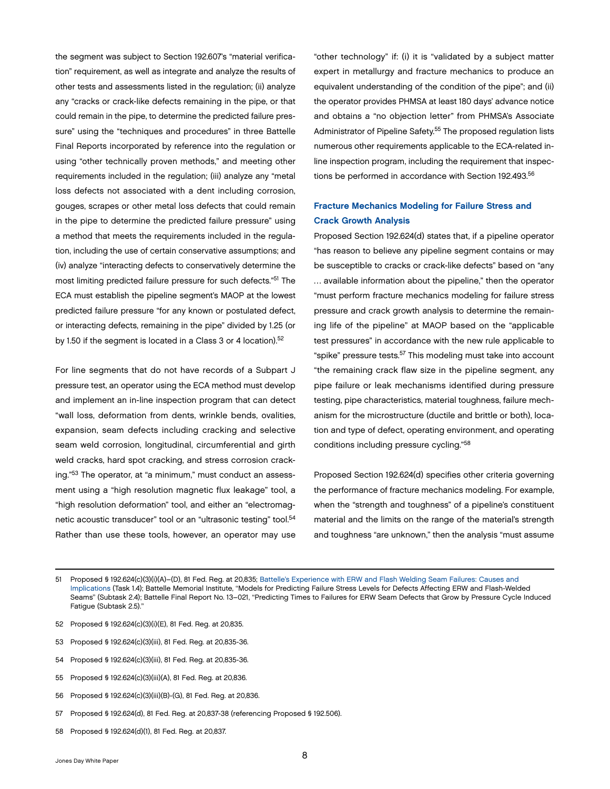<span id="page-9-0"></span>the segment was subject to Section 192.607's "material verification" requirement, as well as integrate and analyze the results of other tests and assessments listed in the regulation; (ii) analyze any "cracks or crack-like defects remaining in the pipe, or that could remain in the pipe, to determine the predicted failure pressure" using the "techniques and procedures" in three Battelle Final Reports incorporated by reference into the regulation or using "other technically proven methods," and meeting other requirements included in the regulation; (iii) analyze any "metal loss defects not associated with a dent including corrosion, gouges, scrapes or other metal loss defects that could remain in the pipe to determine the predicted failure pressure" using a method that meets the requirements included in the regulation, including the use of certain conservative assumptions; and (iv) analyze "interacting defects to conservatively determine the most limiting predicted failure pressure for such defects."51 The ECA must establish the pipeline segment's MAOP at the lowest predicted failure pressure "for any known or postulated defect, or interacting defects, remaining in the pipe" divided by 1.25 (or by 1.50 if the segment is located in a Class 3 or 4 location).<sup>52</sup>

For line segments that do not have records of a Subpart J pressure test, an operator using the ECA method must develop and implement an in-line inspection program that can detect "wall loss, deformation from dents, wrinkle bends, ovalities, expansion, seam defects including cracking and selective seam weld corrosion, longitudinal, circumferential and girth weld cracks, hard spot cracking, and stress corrosion cracking."53 The operator, at "a minimum," must conduct an assessment using a "high resolution magnetic flux leakage" tool, a "high resolution deformation" tool, and either an "electromagnetic acoustic transducer" tool or an "ultrasonic testing" tool.54 Rather than use these tools, however, an operator may use

"other technology" if: (i) it is "validated by a subject matter expert in metallurgy and fracture mechanics to produce an equivalent understanding of the condition of the pipe"; and (ii) the operator provides PHMSA at least 180 days' advance notice and obtains a "no objection letter" from PHMSA's Associate Administrator of Pipeline Safety.55 The proposed regulation lists numerous other requirements applicable to the ECA-related inline inspection program, including the requirement that inspections be performed in accordance with Section 192.493.<sup>56</sup>

## Fracture Mechanics Modeling for Failure Stress and Crack Growth Analysis

Proposed Section 192.624(d) states that, if a pipeline operator "has reason to believe any pipeline segment contains or may be susceptible to cracks or crack-like defects" based on "any … available information about the pipeline," then the operator "must perform fracture mechanics modeling for failure stress pressure and crack growth analysis to determine the remaining life of the pipeline" at MAOP based on the "applicable test pressures" in accordance with the new rule applicable to "spike" pressure tests.<sup>57</sup> This modeling must take into account "the remaining crack flaw size in the pipeline segment, any pipe failure or leak mechanisms identified during pressure testing, pipe characteristics, material toughness, failure mechanism for the microstructure (ductile and brittle or both), location and type of defect, operating environment, and operating conditions including pressure cycling."58

Proposed Section 192.624(d) specifies other criteria governing the performance of fracture mechanics modeling. For example, when the "strength and toughness" of a pipeline's constituent material and the limits on the range of the material's strength and toughness "are unknown," then the analysis "must assume

- 52 Proposed § 192.624(c)(3)(i)(E), 81 Fed. Reg. at 20,835.
- 53 Proposed § 192.624(c)(3)(iii), 81 Fed. Reg. at 20,835-36.
- 54 Proposed § 192.624(c)(3)(iii), 81 Fed. Reg. at 20,835-36.
- 55 Proposed § 192.624(c)(3)(iii)(A), 81 Fed. Reg. at 20,836.
- 56 Proposed § 192.624(c)(3)(iii)(B)-(G), 81 Fed. Reg. at 20,836.
- 57 Proposed § 192.624(d), 81 Fed. Reg. at 20,837-38 (referencing Proposed § 192.506).
- 58 Proposed § 192.624(d)(1), 81 Fed. Reg. at 20,837.

<sup>51</sup> Proposed § 192.624(c)(3)(i)(A)–(D), 81 Fed. Reg. at 20,835; [Battelle's Experience with ERW and Flash Welding Seam Failures: Causes and](http://www.carkw.com/wp-content/uploads/2013/10/9.20.12-Report-on-ERW-and-Flash-weld-seams.pdf)  [Implications](http://www.carkw.com/wp-content/uploads/2013/10/9.20.12-Report-on-ERW-and-Flash-weld-seams.pdf) (Task 1.4); Battelle Memorial Institute, ''Models for Predicting Failure Stress Levels for Defects Affecting ERW and Flash-Welded Seams'' (Subtask 2.4); Battelle Final Report No. 13–021, ''Predicting Times to Failures for ERW Seam Defects that Grow by Pressure Cycle Induced Fatigue (Subtask 2.5).''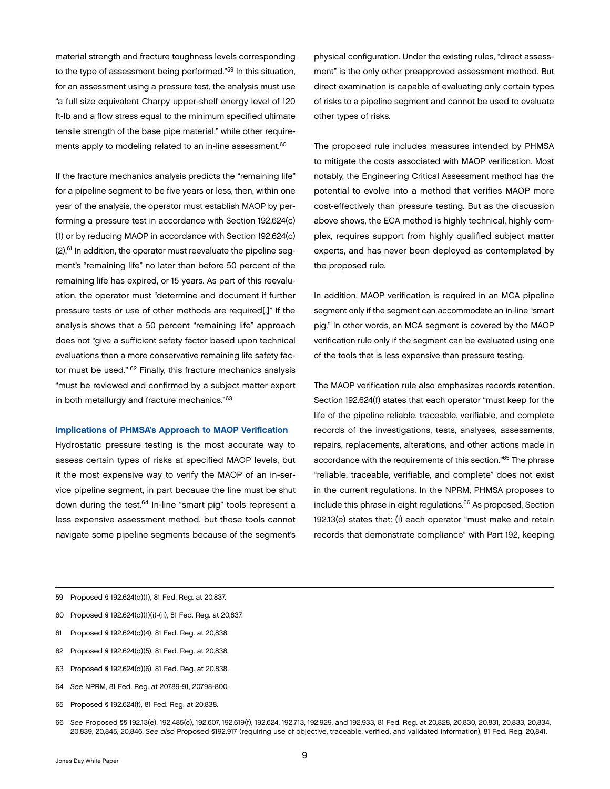<span id="page-10-0"></span>material strength and fracture toughness levels corresponding to the type of assessment being performed."59 In this situation, for an assessment using a pressure test, the analysis must use "a full size equivalent Charpy upper-shelf energy level of 120 ft-lb and a flow stress equal to the minimum specified ultimate tensile strength of the base pipe material," while other requirements apply to modeling related to an in-line assessment.<sup>60</sup>

If the fracture mechanics analysis predicts the "remaining life" for a pipeline segment to be five years or less, then, within one year of the analysis, the operator must establish MAOP by performing a pressure test in accordance with Section 192.624(c) (1) or by reducing MAOP in accordance with Section 192.624(c) (2).61 In addition, the operator must reevaluate the pipeline segment's "remaining life" no later than before 50 percent of the remaining life has expired, or 15 years. As part of this reevaluation, the operator must "determine and document if further pressure tests or use of other methods are required[.]" If the analysis shows that a 50 percent "remaining life" approach does not "give a sufficient safety factor based upon technical evaluations then a more conservative remaining life safety factor must be used." 62 Finally, this fracture mechanics analysis "must be reviewed and confirmed by a subject matter expert in both metallurgy and fracture mechanics."63

#### Implications of PHMSA's Approach to MAOP Verification

Hydrostatic pressure testing is the most accurate way to assess certain types of risks at specified MAOP levels, but it the most expensive way to verify the MAOP of an in-service pipeline segment, in part because the line must be shut down during the test.<sup>64</sup> In-line "smart pig" tools represent a less expensive assessment method, but these tools cannot navigate some pipeline segments because of the segment's

physical configuration. Under the existing rules, "direct assessment" is the only other preapproved assessment method. But direct examination is capable of evaluating only certain types of risks to a pipeline segment and cannot be used to evaluate other types of risks.

The proposed rule includes measures intended by PHMSA to mitigate the costs associated with MAOP verification. Most notably, the Engineering Critical Assessment method has the potential to evolve into a method that verifies MAOP more cost-effectively than pressure testing. But as the discussion above shows, the ECA method is highly technical, highly complex, requires support from highly qualified subject matter experts, and has never been deployed as contemplated by the proposed rule.

In addition, MAOP verification is required in an MCA pipeline segment only if the segment can accommodate an in-line "smart pig." In other words, an MCA segment is covered by the MAOP verification rule only if the segment can be evaluated using one of the tools that is less expensive than pressure testing.

The MAOP verification rule also emphasizes records retention. Section 192.624(f) states that each operator "must keep for the life of the pipeline reliable, traceable, verifiable, and complete records of the investigations, tests, analyses, assessments, repairs, replacements, alterations, and other actions made in accordance with the requirements of this section."65 The phrase "reliable, traceable, verifiable, and complete" does not exist in the current regulations. In the NPRM, PHMSA proposes to include this phrase in eight regulations.<sup>66</sup> As proposed, Section 192.13(e) states that: (i) each operator "must make and retain records that demonstrate compliance" with Part 192, keeping

- 60 Proposed § 192.624(d)(1)(i)-(ii), 81 Fed. Reg. at 20,837.
- 61 Proposed § 192.624(d)(4), 81 Fed. Reg. at 20,838.
- 62 Proposed § 192.624(d)(5), 81 Fed. Reg. at 20,838.
- 63 Proposed § 192.624(d)(6), 81 Fed. Reg. at 20,838.
- 64 *See* NPRM, 81 Fed. Reg. at 20789-91, 20798-800.
- 65 Proposed § 192.624(f), 81 Fed. Reg. at 20,838.
- 66 *See* Proposed §§ 192.13(e), 192.485(c), 192.607, 192.619(f), 192.624, 192.713, 192.929, and 192.933, 81 Fed. Reg. at 20,828, 20,830, 20,831, 20,833, 20,834, 20,839, 20,845, 20,846. *See also* Proposed §192.917 (requiring use of objective, traceable, verified, and validated information), 81 Fed. Reg. 20,841.

<sup>59</sup> Proposed § 192.624(d)(1), 81 Fed. Reg. at 20,837.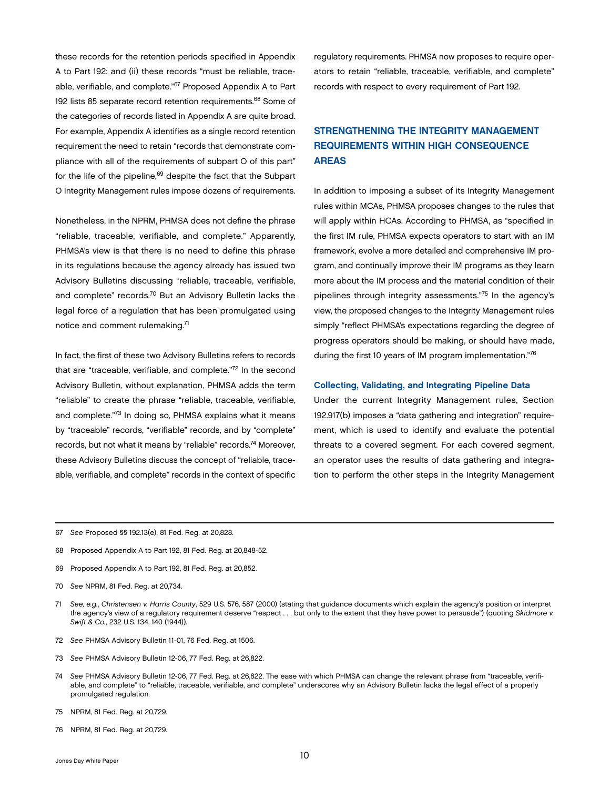<span id="page-11-0"></span>these records for the retention periods specified in Appendix A to Part 192; and (ii) these records "must be reliable, traceable, verifiable, and complete."67 Proposed Appendix A to Part 192 lists 85 separate record retention requirements.68 Some of the categories of records listed in Appendix A are quite broad. For example, Appendix A identifies as a single record retention requirement the need to retain "records that demonstrate compliance with all of the requirements of subpart O of this part" for the life of the pipeline,<sup>69</sup> despite the fact that the Subpart O Integrity Management rules impose dozens of requirements.

Nonetheless, in the NPRM, PHMSA does not define the phrase "reliable, traceable, verifiable, and complete." Apparently, PHMSA's view is that there is no need to define this phrase in its regulations because the agency already has issued two Advisory Bulletins discussing "reliable, traceable, verifiable, and complete" records.70 But an Advisory Bulletin lacks the legal force of a regulation that has been promulgated using notice and comment rulemaking.71

In fact, the first of these two Advisory Bulletins refers to records that are "traceable, verifiable, and complete."72 In the second Advisory Bulletin, without explanation, PHMSA adds the term "reliable" to create the phrase "reliable, traceable, verifiable, and complete."73 In doing so, PHMSA explains what it means by "traceable" records, "verifiable" records, and by "complete" records, but not what it means by "reliable" records.74 Moreover, these Advisory Bulletins discuss the concept of "reliable, traceable, verifiable, and complete" records in the context of specific

regulatory requirements. PHMSA now proposes to require operators to retain "reliable, traceable, verifiable, and complete" records with respect to every requirement of Part 192.

## STRENGTHENING THE INTEGRITY MANAGEMENT REQUIREMENTS WITHIN HIGH CONSEQUENCE AREAS

In addition to imposing a subset of its Integrity Management rules within MCAs, PHMSA proposes changes to the rules that will apply within HCAs. According to PHMSA, as "specified in the first IM rule, PHMSA expects operators to start with an IM framework, evolve a more detailed and comprehensive IM program, and continually improve their IM programs as they learn more about the IM process and the material condition of their pipelines through integrity assessments."75 In the agency's view, the proposed changes to the Integrity Management rules simply "reflect PHMSA's expectations regarding the degree of progress operators should be making, or should have made, during the first 10 years of IM program implementation."76

#### Collecting, Validating, and Integrating Pipeline Data

Under the current Integrity Management rules, Section 192.917(b) imposes a "data gathering and integration" requirement, which is used to identify and evaluate the potential threats to a covered segment. For each covered segment, an operator uses the results of data gathering and integration to perform the other steps in the Integrity Management

- 67 *See* Proposed §§ 192.13(e), 81 Fed. Reg. at 20,828.
- 68 Proposed Appendix A to Part 192, 81 Fed. Reg. at 20,848-52.
- 69 Proposed Appendix A to Part 192, 81 Fed. Reg. at 20,852.
- 70 *See* NPRM, 81 Fed. Reg. at 20,734.
- 71 *See, e.g.*, *Christensen v. Harris County*, 529 U.S. 576, 587 (2000) (stating that guidance documents which explain the agency's position or interpret the agency's view of a regulatory requirement deserve "respect . . . but only to the extent that they have power to persuade") (quoting *Skidmore v. Swift & Co.*, 232 U.S. 134, 140 (1944)).
- 72 *See* PHMSA Advisory Bulletin 11-01, 76 Fed. Reg. at 1506.
- 73 *See* PHMSA Advisory Bulletin 12-06, 77 Fed. Reg. at 26,822.
- 74 *See* PHMSA Advisory Bulletin 12-06, 77 Fed. Reg. at 26,822. The ease with which PHMSA can change the relevant phrase from "traceable, verifiable, and complete" to "reliable, traceable, verifiable, and complete" underscores why an Advisory Bulletin lacks the legal effect of a properly promulgated regulation.
- 75 NPRM, 81 Fed. Reg. at 20,729.
- 76 NPRM, 81 Fed. Reg. at 20,729.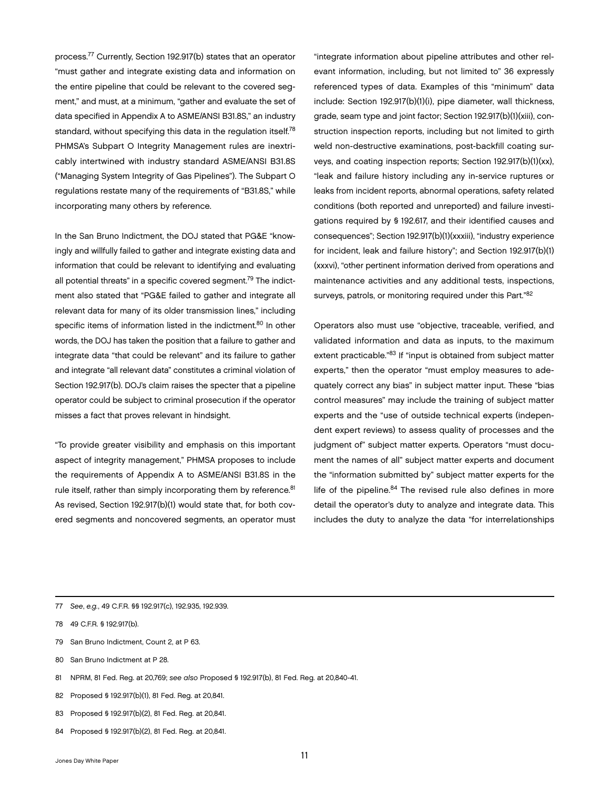process.77 Currently, Section 192.917(b) states that an operator "must gather and integrate existing data and information on the entire pipeline that could be relevant to the covered segment," and must, at a minimum, "gather and evaluate the set of data specified in Appendix A to ASME/ANSI B31.8S," an industry standard, without specifying this data in the regulation itself.<sup>78</sup> PHMSA's Subpart O Integrity Management rules are inextricably intertwined with industry standard ASME/ANSI B31.8S ("Managing System Integrity of Gas Pipelines"). The Subpart O regulations restate many of the requirements of "B31.8S," while incorporating many others by reference.

In the San Bruno Indictment, the DOJ stated that PG&E "knowingly and willfully failed to gather and integrate existing data and information that could be relevant to identifying and evaluating all potential threats" in a specific covered segment.<sup>79</sup> The indictment also stated that "PG&E failed to gather and integrate all relevant data for many of its older transmission lines," including specific items of information listed in the indictment.<sup>80</sup> In other words, the DOJ has taken the position that a failure to gather and integrate data "that could be relevant" and its failure to gather and integrate "all relevant data" constitutes a criminal violation of Section 192.917(b). DOJ's claim raises the specter that a pipeline operator could be subject to criminal prosecution if the operator misses a fact that proves relevant in hindsight.

"To provide greater visibility and emphasis on this important aspect of integrity management," PHMSA proposes to include the requirements of Appendix A to ASME/ANSI B31.8S in the rule itself, rather than simply incorporating them by reference.<sup>81</sup> As revised, Section 192.917(b)(1) would state that, for both covered segments and noncovered segments, an operator must

"integrate information about pipeline attributes and other relevant information, including, but not limited to" 36 expressly referenced types of data. Examples of this "minimum" data include: Section 192.917(b)(1)(i), pipe diameter, wall thickness, grade, seam type and joint factor; Section 192.917(b)(1)(xiii), construction inspection reports, including but not limited to girth weld non-destructive examinations, post-backfill coating surveys, and coating inspection reports; Section 192.917(b)(1)(xx), "leak and failure history including any in-service ruptures or leaks from incident reports, abnormal operations, safety related conditions (both reported and unreported) and failure investigations required by § 192.617, and their identified causes and consequences"; Section 192.917(b)(1)(xxxiii), "industry experience for incident, leak and failure history"; and Section 192.917(b)(1) (xxxvi), "other pertinent information derived from operations and maintenance activities and any additional tests, inspections, surveys, patrols, or monitoring required under this Part."82

Operators also must use "objective, traceable, verified, and validated information and data as inputs, to the maximum extent practicable."83 If "input is obtained from subject matter experts," then the operator "must employ measures to adequately correct any bias" in subject matter input. These "bias control measures" may include the training of subject matter experts and the "use of outside technical experts (independent expert reviews) to assess quality of processes and the judgment of" subject matter experts. Operators "must document the names of all" subject matter experts and document the "information submitted by" subject matter experts for the life of the pipeline.<sup>84</sup> The revised rule also defines in more detail the operator's duty to analyze and integrate data. This includes the duty to analyze the data "for interrelationships

- 78 49 C.F.R. § 192.917(b).
- 79 San Bruno Indictment, Count 2, at P 63.
- 80 San Bruno Indictment at P 28.
- 81 NPRM, 81 Fed. Reg. at 20,769; *see also* Proposed § 192.917(b), 81 Fed. Reg. at 20,840-41.
- 82 Proposed § 192.917(b)(1), 81 Fed. Reg. at 20,841.
- 83 Proposed § 192.917(b)(2), 81 Fed. Reg. at 20,841.
- 84 Proposed § 192.917(b)(2), 81 Fed. Reg. at 20,841.

<sup>77</sup> *See*, *e.g.*, 49 C.F.R. §§ 192.917(c), 192.935, 192.939.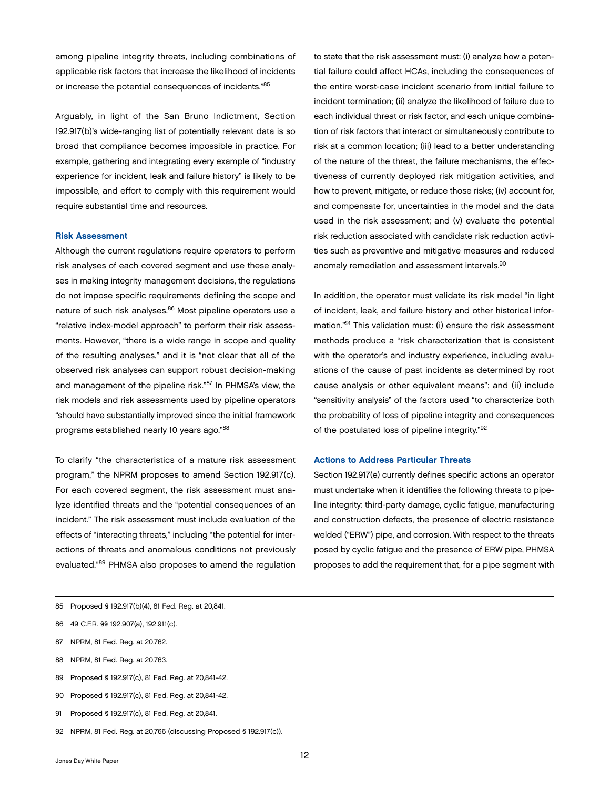<span id="page-13-0"></span>among pipeline integrity threats, including combinations of applicable risk factors that increase the likelihood of incidents or increase the potential consequences of incidents."85

Arguably, in light of the San Bruno Indictment, Section 192.917(b)'s wide-ranging list of potentially relevant data is so broad that compliance becomes impossible in practice. For example, gathering and integrating every example of "industry experience for incident, leak and failure history" is likely to be impossible, and effort to comply with this requirement would require substantial time and resources.

#### Risk Assessment

Although the current regulations require operators to perform risk analyses of each covered segment and use these analyses in making integrity management decisions, the regulations do not impose specific requirements defining the scope and nature of such risk analyses.<sup>86</sup> Most pipeline operators use a "relative index-model approach" to perform their risk assessments. However, "there is a wide range in scope and quality of the resulting analyses," and it is "not clear that all of the observed risk analyses can support robust decision-making and management of the pipeline risk."87 In PHMSA's view, the risk models and risk assessments used by pipeline operators "should have substantially improved since the initial framework programs established nearly 10 years ago."88

To clarify "the characteristics of a mature risk assessment program," the NPRM proposes to amend Section 192.917(c). For each covered segment, the risk assessment must analyze identified threats and the "potential consequences of an incident." The risk assessment must include evaluation of the effects of "interacting threats," including "the potential for interactions of threats and anomalous conditions not previously evaluated."89 PHMSA also proposes to amend the regulation

to state that the risk assessment must: (i) analyze how a potential failure could affect HCAs, including the consequences of the entire worst-case incident scenario from initial failure to incident termination; (ii) analyze the likelihood of failure due to each individual threat or risk factor, and each unique combination of risk factors that interact or simultaneously contribute to risk at a common location; (iii) lead to a better understanding of the nature of the threat, the failure mechanisms, the effectiveness of currently deployed risk mitigation activities, and how to prevent, mitigate, or reduce those risks; (iv) account for, and compensate for, uncertainties in the model and the data used in the risk assessment; and (v) evaluate the potential risk reduction associated with candidate risk reduction activities such as preventive and mitigative measures and reduced anomaly remediation and assessment intervals.90

In addition, the operator must validate its risk model "in light of incident, leak, and failure history and other historical information."91 This validation must: (i) ensure the risk assessment methods produce a "risk characterization that is consistent with the operator's and industry experience, including evaluations of the cause of past incidents as determined by root cause analysis or other equivalent means"; and (ii) include "sensitivity analysis" of the factors used "to characterize both the probability of loss of pipeline integrity and consequences of the postulated loss of pipeline integrity."92

#### Actions to Address Particular Threats

Section 192.917(e) currently defines specific actions an operator must undertake when it identifies the following threats to pipeline integrity: third-party damage, cyclic fatigue, manufacturing and construction defects, the presence of electric resistance welded ("ERW") pipe, and corrosion. With respect to the threats posed by cyclic fatigue and the presence of ERW pipe, PHMSA proposes to add the requirement that, for a pipe segment with

- 86 49 C.F.R. §§ 192.907(a), 192.911(c).
- 87 NPRM, 81 Fed. Reg. at 20,762.
- 88 NPRM, 81 Fed. Reg. at 20,763.
- 89 Proposed § 192.917(c), 81 Fed. Reg. at 20,841-42.
- 90 Proposed § 192.917(c), 81 Fed. Reg. at 20,841-42.
- 91 Proposed § 192.917(c), 81 Fed. Reg. at 20,841.
- 92 NPRM, 81 Fed. Reg. at 20,766 (discussing Proposed § 192.917(c)).

<sup>85</sup> Proposed § 192.917(b)(4), 81 Fed. Reg. at 20,841.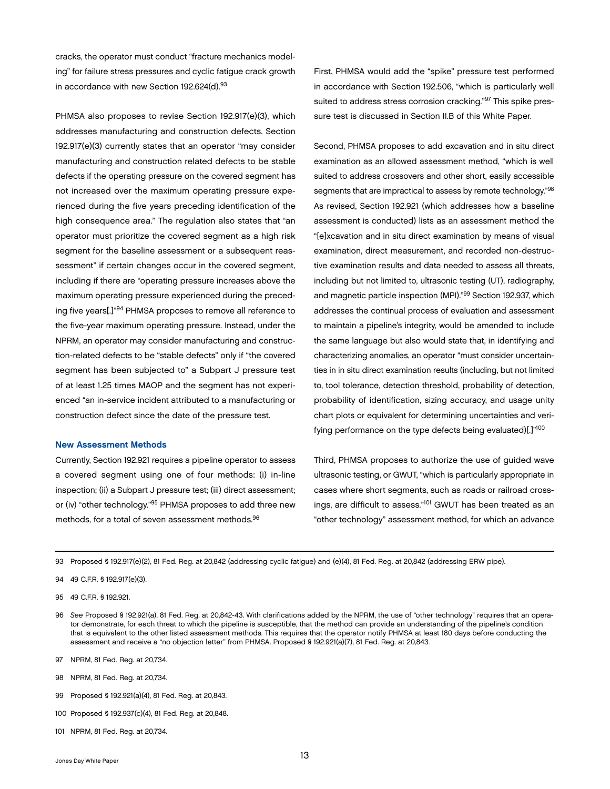<span id="page-14-0"></span>cracks, the operator must conduct "fracture mechanics modeling" for failure stress pressures and cyclic fatigue crack growth in accordance with new Section 192.624(d).93

PHMSA also proposes to revise Section 192.917(e)(3), which addresses manufacturing and construction defects. Section 192.917(e)(3) currently states that an operator "may consider manufacturing and construction related defects to be stable defects if the operating pressure on the covered segment has not increased over the maximum operating pressure experienced during the five years preceding identification of the high consequence area." The regulation also states that "an operator must prioritize the covered segment as a high risk segment for the baseline assessment or a subsequent reassessment" if certain changes occur in the covered segment, including if there are "operating pressure increases above the maximum operating pressure experienced during the preceding five years[.]"94 PHMSA proposes to remove all reference to the five-year maximum operating pressure. Instead, under the NPRM, an operator may consider manufacturing and construction-related defects to be "stable defects" only if "the covered segment has been subjected to" a Subpart J pressure test of at least 1.25 times MAOP and the segment has not experienced "an in-service incident attributed to a manufacturing or construction defect since the date of the pressure test.

#### New Assessment Methods

Currently, Section 192.921 requires a pipeline operator to assess a covered segment using one of four methods: (i) in-line inspection; (ii) a Subpart J pressure test; (iii) direct assessment; or (iv) "other technology."95 PHMSA proposes to add three new methods, for a total of seven assessment methods.<sup>96</sup>

First, PHMSA would add the "spike" pressure test performed in accordance with Section 192.506, "which is particularly well suited to address stress corrosion cracking."<sup>97</sup> This spike pressure test is discussed in Section II.B of this White Paper.

Second, PHMSA proposes to add excavation and in situ direct examination as an allowed assessment method, "which is well suited to address crossovers and other short, easily accessible segments that are impractical to assess by remote technology."98 As revised, Section 192.921 (which addresses how a baseline assessment is conducted) lists as an assessment method the "[e]xcavation and in situ direct examination by means of visual examination, direct measurement, and recorded non-destructive examination results and data needed to assess all threats, including but not limited to, ultrasonic testing (UT), radiography, and magnetic particle inspection (MPI)."99 Section 192.937, which addresses the continual process of evaluation and assessment to maintain a pipeline's integrity, would be amended to include the same language but also would state that, in identifying and characterizing anomalies, an operator "must consider uncertainties in in situ direct examination results (including, but not limited to, tool tolerance, detection threshold, probability of detection, probability of identification, sizing accuracy, and usage unity chart plots or equivalent for determining uncertainties and verifying performance on the type defects being evaluated)[.]"100

Third, PHMSA proposes to authorize the use of guided wave ultrasonic testing, or GWUT, "which is particularly appropriate in cases where short segments, such as roads or railroad crossings, are difficult to assess."<sup>101</sup> GWUT has been treated as an "other technology" assessment method, for which an advance

93 Proposed § 192.917(e)(2), 81 Fed. Reg. at 20,842 (addressing cyclic fatigue) and (e)(4), 81 Fed. Reg. at 20,842 (addressing ERW pipe).

- 97 NPRM, 81 Fed. Reg. at 20,734.
- 98 NPRM, 81 Fed. Reg. at 20,734.
- 99 Proposed § 192.921(a)(4), 81 Fed. Reg. at 20,843.
- 100 Proposed § 192.937(c)(4), 81 Fed. Reg. at 20,848.
- 101 NPRM, 81 Fed. Reg. at 20,734.

<sup>94</sup> 49 C.F.R. § 192.917(e)(3).

<sup>95</sup> 49 C.F.R. § 192.921.

<sup>96</sup> *See* Proposed § 192.921(a), 81 Fed. Reg. at 20,842-43. With clarifications added by the NPRM, the use of "other technology" requires that an operator demonstrate, for each threat to which the pipeline is susceptible, that the method can provide an understanding of the pipeline's condition that is equivalent to the other listed assessment methods. This requires that the operator notify PHMSA at least 180 days before conducting the assessment and receive a "no objection letter" from PHMSA. Proposed § 192.921(a)(7), 81 Fed. Reg. at 20,843.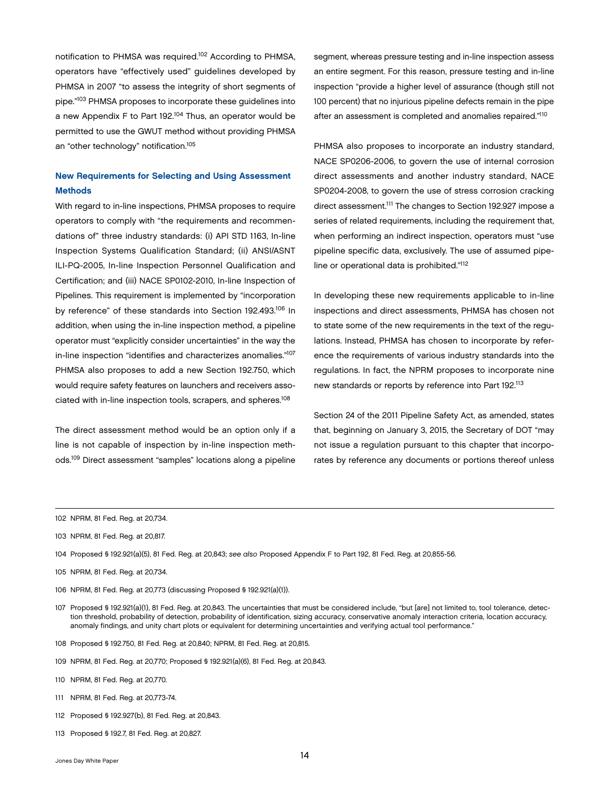<span id="page-15-0"></span>notification to PHMSA was required.102 According to PHMSA, operators have "effectively used" guidelines developed by PHMSA in 2007 "to assess the integrity of short segments of pipe."103 PHMSA proposes to incorporate these guidelines into a new Appendix F to Part 192.104 Thus, an operator would be permitted to use the GWUT method without providing PHMSA an "other technology" notification.105

## New Requirements for Selecting and Using Assessment Methods

With regard to in-line inspections, PHMSA proposes to require operators to comply with "the requirements and recommendations of" three industry standards: (i) API STD 1163, In-line Inspection Systems Qualification Standard; (ii) ANSI/ASNT ILI-PQ-2005, In-line Inspection Personnel Qualification and Certification; and (iii) NACE SP0102-2010, In-line Inspection of Pipelines. This requirement is implemented by "incorporation by reference" of these standards into Section 192.493.<sup>106</sup> In addition, when using the in-line inspection method, a pipeline operator must "explicitly consider uncertainties" in the way the in-line inspection "identifies and characterizes anomalies."107 PHMSA also proposes to add a new Section 192.750, which would require safety features on launchers and receivers associated with in-line inspection tools, scrapers, and spheres.108

The direct assessment method would be an option only if a line is not capable of inspection by in-line inspection methods.109 Direct assessment "samples" locations along a pipeline

segment, whereas pressure testing and in-line inspection assess an entire segment. For this reason, pressure testing and in-line inspection "provide a higher level of assurance (though still not 100 percent) that no injurious pipeline defects remain in the pipe after an assessment is completed and anomalies repaired."110

PHMSA also proposes to incorporate an industry standard, NACE SP0206-2006, to govern the use of internal corrosion direct assessments and another industry standard, NACE SP0204-2008, to govern the use of stress corrosion cracking direct assessment.111 The changes to Section 192.927 impose a series of related requirements, including the requirement that, when performing an indirect inspection, operators must "use pipeline specific data, exclusively. The use of assumed pipeline or operational data is prohibited."112

In developing these new requirements applicable to in-line inspections and direct assessments, PHMSA has chosen not to state some of the new requirements in the text of the regulations. Instead, PHMSA has chosen to incorporate by reference the requirements of various industry standards into the regulations. In fact, the NPRM proposes to incorporate nine new standards or reports by reference into Part 192.113

Section 24 of the 2011 Pipeline Safety Act, as amended, states that, beginning on January 3, 2015, the Secretary of DOT "may not issue a regulation pursuant to this chapter that incorporates by reference any documents or portions thereof unless

- 103 NPRM, 81 Fed. Reg. at 20,817.
- 104 Proposed § 192.921(a)(5), 81 Fed. Reg. at 20,843; *see also* Proposed Appendix F to Part 192, 81 Fed. Reg. at 20,855-56.
- 105 NPRM, 81 Fed. Reg. at 20,734.
- 106 NPRM, 81 Fed. Reg. at 20,773 (discussing Proposed § 192.921(a)(1)).
- 107 Proposed § 192.921(a)(1), 81 Fed. Reg. at 20,843. The uncertainties that must be considered include, "but [are] not limited to, tool tolerance, detection threshold, probability of detection, probability of identification, sizing accuracy, conservative anomaly interaction criteria, location accuracy, anomaly findings, and unity chart plots or equivalent for determining uncertainties and verifying actual tool performance."
- 108 Proposed § 192.750, 81 Fed. Reg. at 20,840; NPRM, 81 Fed. Reg. at 20,815.
- 109 NPRM, 81 Fed. Reg. at 20,770; Proposed § 192.921(a)(6), 81 Fed. Reg. at 20,843.
- 110 NPRM, 81 Fed. Reg. at 20,770.
- 111 NPRM, 81 Fed. Reg. at 20,773-74.
- 112 Proposed § 192.927(b), 81 Fed. Reg. at 20,843.
- 113 Proposed § 192.7, 81 Fed. Reg. at 20,827.

<sup>102</sup> NPRM, 81 Fed. Reg. at 20,734.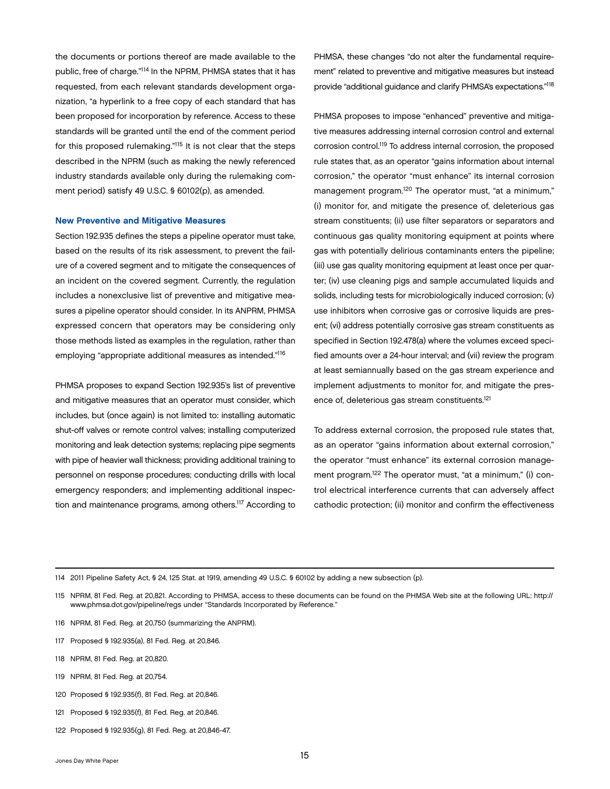<span id="page-16-0"></span>the documents or portions thereof are made available to the public, free of charge."114 In the NPRM, PHMSA states that it has requested, from each relevant standards development organization, "a hyperlink to a free copy of each standard that has been proposed for incorporation by reference. Access to these standards will be granted until the end of the comment period for this proposed rulemaking."115 It is not clear that the steps described in the NPRM (such as making the newly referenced industry standards available only during the rulemaking comment period) satisfy 49 U.S.C. § 60102(p), as amended.

#### New Preventive and Mitigative Measures

Section 192.935 defines the steps a pipeline operator must take, based on the results of its risk assessment, to prevent the failure of a covered segment and to mitigate the consequences of an incident on the covered segment. Currently, the regulation includes a nonexclusive list of preventive and mitigative measures a pipeline operator should consider. In its ANPRM, PHMSA expressed concern that operators may be considering only those methods listed as examples in the regulation, rather than employing "appropriate additional measures as intended."116

PHMSA proposes to expand Section 192.935's list of preventive and mitigative measures that an operator must consider, which includes, but (once again) is not limited to: installing automatic shut-off valves or remote control valves; installing computerized monitoring and leak detection systems; replacing pipe segments with pipe of heavier wall thickness; providing additional training to personnel on response procedures; conducting drills with local emergency responders; and implementing additional inspection and maintenance programs, among others.117 According to PHMSA, these changes "do not alter the fundamental requirement" related to preventive and mitigative measures but instead provide "additional guidance and clarify PHMSA's expectations."118

PHMSA proposes to impose "enhanced" preventive and mitigative measures addressing internal corrosion control and external corrosion control.119 To address internal corrosion, the proposed rule states that, as an operator "gains information about internal corrosion," the operator "must enhance" its internal corrosion management program.<sup>120</sup> The operator must, "at a minimum," (i) monitor for, and mitigate the presence of, deleterious gas stream constituents; (ii) use filter separators or separators and continuous gas quality monitoring equipment at points where gas with potentially delirious contaminants enters the pipeline; (iii) use gas quality monitoring equipment at least once per quarter; (iv) use cleaning pigs and sample accumulated liquids and solids, including tests for microbiologically induced corrosion; (v) use inhibitors when corrosive gas or corrosive liquids are present; (vi) address potentially corrosive gas stream constituents as specified in Section 192.478(a) where the volumes exceed specified amounts over a 24-hour interval; and (vii) review the program at least semiannually based on the gas stream experience and implement adjustments to monitor for, and mitigate the presence of, deleterious gas stream constituents.<sup>121</sup>

To address external corrosion, the proposed rule states that, as an operator "gains information about external corrosion," the operator "must enhance" its external corrosion management program.<sup>122</sup> The operator must, "at a minimum," (i) control electrical interference currents that can adversely affect cathodic protection; (ii) monitor and confirm the effectiveness

114 2011 Pipeline Safety Act, § 24, 125 Stat. at 1919, amending 49 U.S.C. § 60102 by adding a new subsection (p).

- 116 NPRM, 81 Fed. Reg. at 20,750 (summarizing the ANPRM).
- 117 Proposed § 192.935(a), 81 Fed. Reg. at 20,846.
- 118 NPRM, 81 Fed. Reg. at 20,820.
- 119 NPRM, 81 Fed. Reg. at 20,754.
- 120 Proposed § 192.935(f), 81 Fed. Reg. at 20,846.
- 121 Proposed § 192.935(f), 81 Fed. Reg. at 20,846.
- 122 Proposed § 192.935(g), 81 Fed. Reg. at 20,846-47.

<sup>115</sup> NPRM, 81 Fed. Reg. at 20,821. According to PHMSA, access to these documents can be found on the PHMSA Web site at the following URL: http:// www.phmsa.dot.gov/pipeline/regs under "Standards Incorporated by Reference."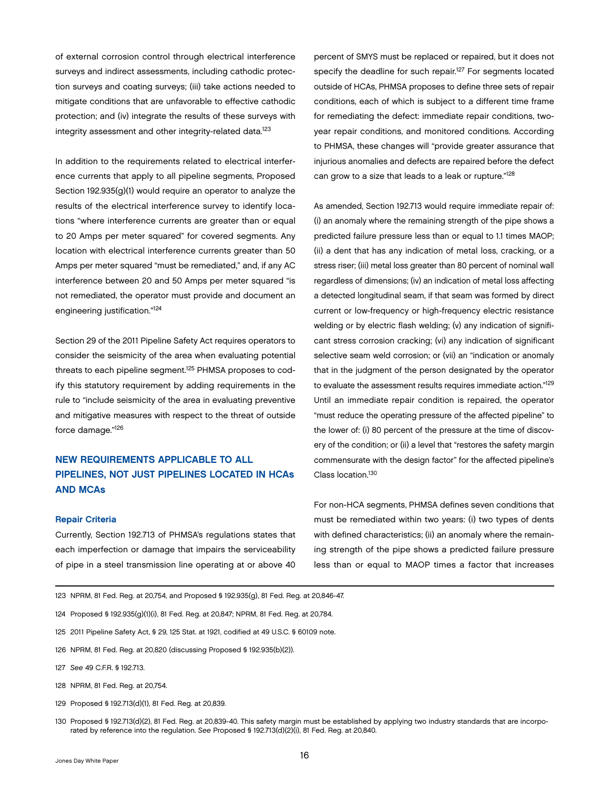<span id="page-17-0"></span>of external corrosion control through electrical interference surveys and indirect assessments, including cathodic protection surveys and coating surveys; (iii) take actions needed to mitigate conditions that are unfavorable to effective cathodic protection; and (iv) integrate the results of these surveys with integrity assessment and other integrity-related data.<sup>123</sup>

In addition to the requirements related to electrical interference currents that apply to all pipeline segments, Proposed Section 192.935(g)(1) would require an operator to analyze the results of the electrical interference survey to identify locations "where interference currents are greater than or equal to 20 Amps per meter squared" for covered segments. Any location with electrical interference currents greater than 50 Amps per meter squared "must be remediated," and, if any AC interference between 20 and 50 Amps per meter squared "is not remediated, the operator must provide and document an engineering justification."124

Section 29 of the 2011 Pipeline Safety Act requires operators to consider the seismicity of the area when evaluating potential threats to each pipeline segment.<sup>125</sup> PHMSA proposes to codify this statutory requirement by adding requirements in the rule to "include seismicity of the area in evaluating preventive and mitigative measures with respect to the threat of outside force damage."126

## NEW REQUIREMENTS APPLICABLE TO ALL PIPELINES, NOT JUST PIPELINES LOCATED IN HCAs AND MCAs

#### Repair Criteria

Currently, Section 192.713 of PHMSA's regulations states that each imperfection or damage that impairs the serviceability of pipe in a steel transmission line operating at or above 40 As amended, Section 192.713 would require immediate repair of: (i) an anomaly where the remaining strength of the pipe shows a predicted failure pressure less than or equal to 1.1 times MAOP; (ii) a dent that has any indication of metal loss, cracking, or a stress riser; (iii) metal loss greater than 80 percent of nominal wall regardless of dimensions; (iv) an indication of metal loss affecting a detected longitudinal seam, if that seam was formed by direct current or low-frequency or high-frequency electric resistance welding or by electric flash welding; (v) any indication of significant stress corrosion cracking; (vi) any indication of significant selective seam weld corrosion; or (vii) an "indication or anomaly that in the judgment of the person designated by the operator to evaluate the assessment results requires immediate action."<sup>129</sup> Until an immediate repair condition is repaired, the operator "must reduce the operating pressure of the affected pipeline" to the lower of: (i) 80 percent of the pressure at the time of discovery of the condition; or (ii) a level that "restores the safety margin commensurate with the design factor" for the affected pipeline's Class location.130

For non-HCA segments, PHMSA defines seven conditions that must be remediated within two years: (i) two types of dents with defined characteristics; (ii) an anomaly where the remaining strength of the pipe shows a predicted failure pressure less than or equal to MAOP times a factor that increases

- 123 NPRM, 81 Fed. Reg. at 20,754, and Proposed § 192.935(g), 81 Fed. Reg. at 20,846-47.
- 124 Proposed § 192.935(g)(1)(i), 81 Fed. Reg. at 20,847; NPRM, 81 Fed. Reg. at 20,784.
- 125 2011 Pipeline Safety Act, § 29, 125 Stat. at 1921, codified at 49 U.S.C. § 60109 note.
- 126 NPRM, 81 Fed. Reg. at 20,820 (discussing Proposed § 192.935(b)(2)).
- 127 *See* 49 C.F.R. § 192.713.
- 128 NPRM, 81 Fed. Reg. at 20,754.
- 129 Proposed § 192.713(d)(1), 81 Fed. Reg. at 20,839.
- 130 Proposed § 192.713(d)(2), 81 Fed. Reg. at 20,839-40. This safety margin must be established by applying two industry standards that are incorporated by reference into the regulation. *See* Proposed § 192.713(d)(2)(i), 81 Fed. Reg. at 20,840.

percent of SMYS must be replaced or repaired, but it does not specify the deadline for such repair.<sup>127</sup> For segments located outside of HCAs, PHMSA proposes to define three sets of repair conditions, each of which is subject to a different time frame for remediating the defect: immediate repair conditions, twoyear repair conditions, and monitored conditions. According to PHMSA, these changes will "provide greater assurance that injurious anomalies and defects are repaired before the defect can grow to a size that leads to a leak or rupture."128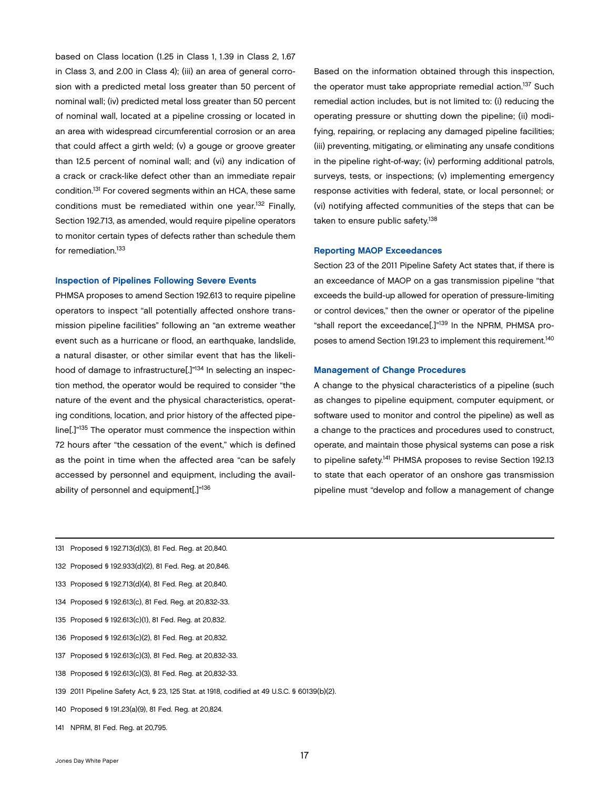<span id="page-18-0"></span>based on Class location (1.25 in Class 1, 1.39 in Class 2, 1.67 in Class 3, and 2.00 in Class 4); (iii) an area of general corrosion with a predicted metal loss greater than 50 percent of nominal wall; (iv) predicted metal loss greater than 50 percent of nominal wall, located at a pipeline crossing or located in an area with widespread circumferential corrosion or an area that could affect a girth weld; (v) a gouge or groove greater than 12.5 percent of nominal wall; and (vi) any indication of a crack or crack-like defect other than an immediate repair condition.131 For covered segments within an HCA, these same conditions must be remediated within one year.132 Finally, Section 192.713, as amended, would require pipeline operators to monitor certain types of defects rather than schedule them for remediation.<sup>133</sup>

#### Inspection of Pipelines Following Severe Events

PHMSA proposes to amend Section 192.613 to require pipeline operators to inspect "all potentially affected onshore transmission pipeline facilities" following an "an extreme weather event such as a hurricane or flood, an earthquake, landslide, a natural disaster, or other similar event that has the likelihood of damage to infrastructure[.]"134 In selecting an inspection method, the operator would be required to consider "the nature of the event and the physical characteristics, operating conditions, location, and prior history of the affected pipeline[.]"135 The operator must commence the inspection within 72 hours after "the cessation of the event," which is defined as the point in time when the affected area "can be safely accessed by personnel and equipment, including the availability of personnel and equipment[.]"136

Based on the information obtained through this inspection, the operator must take appropriate remedial action.<sup>137</sup> Such remedial action includes, but is not limited to: (i) reducing the operating pressure or shutting down the pipeline; (ii) modifying, repairing, or replacing any damaged pipeline facilities; (iii) preventing, mitigating, or eliminating any unsafe conditions in the pipeline right-of-way; (iv) performing additional patrols, surveys, tests, or inspections; (v) implementing emergency response activities with federal, state, or local personnel; or (vi) notifying affected communities of the steps that can be taken to ensure public safety.<sup>138</sup>

#### Reporting MAOP Exceedances

Section 23 of the 2011 Pipeline Safety Act states that, if there is an exceedance of MAOP on a gas transmission pipeline "that exceeds the build-up allowed for operation of pressure-limiting or control devices," then the owner or operator of the pipeline "shall report the exceedance[.]"<sup>139</sup> In the NPRM, PHMSA proposes to amend Section 191.23 to implement this requirement.<sup>140</sup>

#### Management of Change Procedures

A change to the physical characteristics of a pipeline (such as changes to pipeline equipment, computer equipment, or software used to monitor and control the pipeline) as well as a change to the practices and procedures used to construct, operate, and maintain those physical systems can pose a risk to pipeline safety.<sup>141</sup> PHMSA proposes to revise Section 192.13 to state that each operator of an onshore gas transmission pipeline must "develop and follow a management of change

- 131 Proposed § 192.713(d)(3), 81 Fed. Reg. at 20,840.
- 132 Proposed § 192.933(d)(2), 81 Fed. Reg. at 20,846.
- 133 Proposed § 192.713(d)(4), 81 Fed. Reg. at 20,840.
- 134 Proposed § 192.613(c), 81 Fed. Reg. at 20,832-33.
- 135 Proposed § 192.613(c)(1), 81 Fed. Reg. at 20,832.
- 136 Proposed § 192.613(c)(2), 81 Fed. Reg. at 20,832.
- 137 Proposed § 192.613(c)(3), 81 Fed. Reg. at 20,832-33.
- 138 Proposed § 192.613(c)(3), 81 Fed. Reg. at 20,832-33.
- 139 2011 Pipeline Safety Act, § 23, 125 Stat. at 1918, codified at 49 U.S.C. § 60139(b)(2).
- 140 Proposed § 191.23(a)(9), 81 Fed. Reg. at 20,824.
- 141 NPRM, 81 Fed. Reg. at 20,795.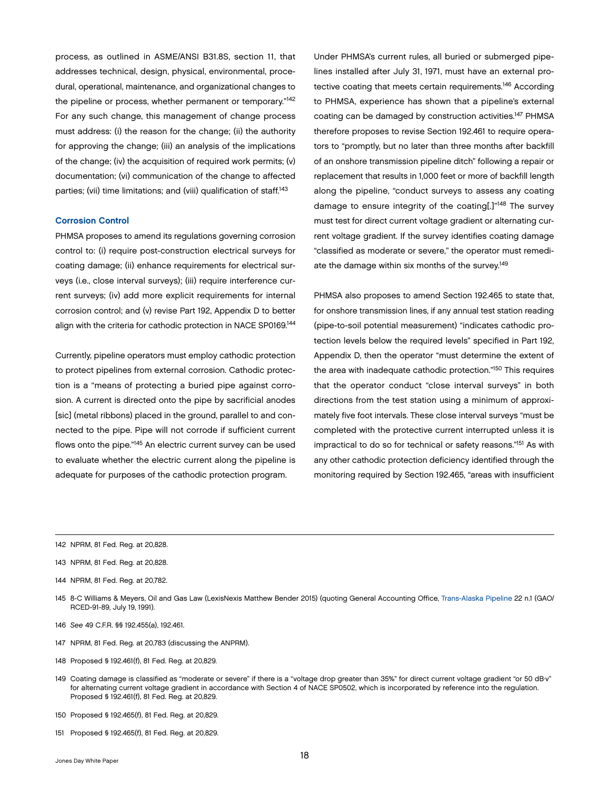<span id="page-19-0"></span>process, as outlined in ASME/ANSI B31.8S, section 11, that addresses technical, design, physical, environmental, procedural, operational, maintenance, and organizational changes to the pipeline or process, whether permanent or temporary."<sup>142</sup> For any such change, this management of change process must address: (i) the reason for the change; (ii) the authority for approving the change; (iii) an analysis of the implications of the change; (iv) the acquisition of required work permits; (v) documentation; (vi) communication of the change to affected parties; (vii) time limitations; and (viii) qualification of staff.<sup>143</sup>

#### Corrosion Control

PHMSA proposes to amend its regulations governing corrosion control to: (i) require post-construction electrical surveys for coating damage; (ii) enhance requirements for electrical surveys (i.e., close interval surveys); (iii) require interference current surveys; (iv) add more explicit requirements for internal corrosion control; and (v) revise Part 192, Appendix D to better align with the criteria for cathodic protection in NACE SP0169.144

Currently, pipeline operators must employ cathodic protection to protect pipelines from external corrosion. Cathodic protection is a "means of protecting a buried pipe against corrosion. A current is directed onto the pipe by sacrificial anodes [sic] (metal ribbons) placed in the ground, parallel to and connected to the pipe. Pipe will not corrode if sufficient current flows onto the pipe."145 An electric current survey can be used to evaluate whether the electric current along the pipeline is adequate for purposes of the cathodic protection program.

Under PHMSA's current rules, all buried or submerged pipelines installed after July 31, 1971, must have an external protective coating that meets certain requirements.<sup>146</sup> According to PHMSA, experience has shown that a pipeline's external coating can be damaged by construction activities.147 PHMSA therefore proposes to revise Section 192.461 to require operators to "promptly, but no later than three months after backfill of an onshore transmission pipeline ditch" following a repair or replacement that results in 1,000 feet or more of backfill length along the pipeline, "conduct surveys to assess any coating damage to ensure integrity of the coating[.]"<sup>148</sup> The survey must test for direct current voltage gradient or alternating current voltage gradient. If the survey identifies coating damage "classified as moderate or severe," the operator must remediate the damage within six months of the survey.<sup>149</sup>

PHMSA also proposes to amend Section 192.465 to state that, for onshore transmission lines, if any annual test station reading (pipe-to-soil potential measurement) "indicates cathodic protection levels below the required levels" specified in Part 192, Appendix D, then the operator "must determine the extent of the area with inadequate cathodic protection."150 This requires that the operator conduct "close interval surveys" in both directions from the test station using a minimum of approximately five foot intervals. These close interval surveys "must be completed with the protective current interrupted unless it is impractical to do so for technical or safety reasons."151 As with any other cathodic protection deficiency identified through the monitoring required by Section 192.465, "areas with insufficient

142 NPRM, 81 Fed. Reg. at 20,828.

- 143 NPRM, 81 Fed. Reg. at 20,828.
- 144 NPRM, 81 Fed. Reg. at 20,782.
- 145 8-C Williams & Meyers, Oil and Gas Law (LexisNexis Matthew Bender 2015) (quoting General Accounting Office, [Trans-Alaska Pipeline](http://gao.gov/assets/160/150889.pdf) 22 n.1 (GAO/ RCED-91-89, July 19, 1991).
- 146 *See* 49 C.F.R. §§ 192.455(a), 192.461.
- 147 NPRM, 81 Fed. Reg. at 20,783 (discussing the ANPRM).
- 148 Proposed § 192.461(f), 81 Fed. Reg. at 20,829.
- 149 Coating damage is classified as "moderate or severe" if there is a "voltage drop greater than 35%" for direct current voltage gradient "or 50 dB·v" for alternating current voltage gradient in accordance with Section 4 of NACE SP0502, which is incorporated by reference into the regulation. Proposed § 192.461(f), 81 Fed. Reg. at 20,829.
- 150 Proposed § 192.465(f), 81 Fed. Reg. at 20,829.
- 151 Proposed § 192.465(f), 81 Fed. Reg. at 20,829.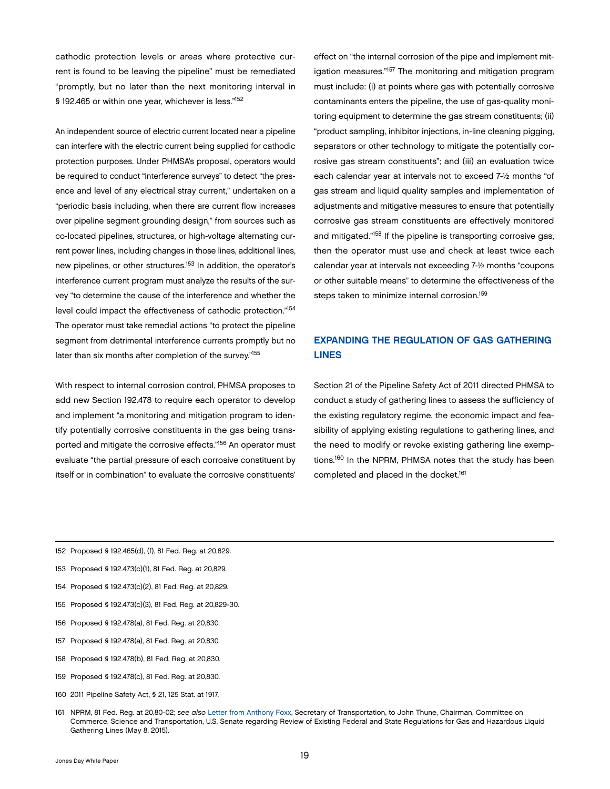<span id="page-20-0"></span>cathodic protection levels or areas where protective current is found to be leaving the pipeline" must be remediated "promptly, but no later than the next monitoring interval in § 192.465 or within one year, whichever is less."152

An independent source of electric current located near a pipeline can interfere with the electric current being supplied for cathodic protection purposes. Under PHMSA's proposal, operators would be required to conduct "interference surveys" to detect "the presence and level of any electrical stray current," undertaken on a "periodic basis including, when there are current flow increases over pipeline segment grounding design," from sources such as co-located pipelines, structures, or high-voltage alternating current power lines, including changes in those lines, additional lines, new pipelines, or other structures.<sup>153</sup> In addition, the operator's interference current program must analyze the results of the survey "to determine the cause of the interference and whether the level could impact the effectiveness of cathodic protection."<sup>154</sup> The operator must take remedial actions "to protect the pipeline segment from detrimental interference currents promptly but no later than six months after completion of the survey."155

With respect to internal corrosion control, PHMSA proposes to add new Section 192.478 to require each operator to develop and implement "a monitoring and mitigation program to identify potentially corrosive constituents in the gas being transported and mitigate the corrosive effects."156 An operator must evaluate "the partial pressure of each corrosive constituent by itself or in combination" to evaluate the corrosive constituents'

effect on "the internal corrosion of the pipe and implement mitigation measures."<sup>157</sup> The monitoring and mitigation program must include: (i) at points where gas with potentially corrosive contaminants enters the pipeline, the use of gas-quality monitoring equipment to determine the gas stream constituents; (ii) "product sampling, inhibitor injections, in-line cleaning pigging, separators or other technology to mitigate the potentially corrosive gas stream constituents"; and (iii) an evaluation twice each calendar year at intervals not to exceed 7-½ months "of gas stream and liquid quality samples and implementation of adjustments and mitigative measures to ensure that potentially corrosive gas stream constituents are effectively monitored and mitigated."158 If the pipeline is transporting corrosive gas, then the operator must use and check at least twice each calendar year at intervals not exceeding 7-½ months "coupons or other suitable means" to determine the effectiveness of the steps taken to minimize internal corrosion.159

## EXPANDING THE REGULATION OF GAS GATHERING LINES

Section 21 of the Pipeline Safety Act of 2011 directed PHMSA to conduct a study of gathering lines to assess the sufficiency of the existing regulatory regime, the economic impact and feasibility of applying existing regulations to gathering lines, and the need to modify or revoke existing gathering line exemptions.160 In the NPRM, PHMSA notes that the study has been completed and placed in the docket.<sup>161</sup>

- 152 Proposed § 192.465(d), (f), 81 Fed. Reg. at 20,829.
- 153 Proposed § 192.473(c)(1), 81 Fed. Reg. at 20,829.
- 154 Proposed § 192.473(c)(2), 81 Fed. Reg. at 20,829.
- 155 Proposed § 192.473(c)(3), 81 Fed. Reg. at 20,829-30.
- 156 Proposed § 192.478(a), 81 Fed. Reg. at 20,830.
- 157 Proposed § 192.478(a), 81 Fed. Reg. at 20,830.
- 158 Proposed § 192.478(b), 81 Fed. Reg. at 20,830.
- 159 Proposed § 192.478(c), 81 Fed. Reg. at 20,830.
- 160 2011 Pipeline Safety Act, § 21, 125 Stat. at 1917.
- 161 NPRM, 81 Fed. Reg. at 20,80-02; *see also* [Letter from Anthony Foxx](http://www.phmsa.dot.gov/staticfiles/PHMSA/DownloadableFiles/Files/report_to_congress_on_gathering_lines.pdf), Secretary of Transportation, to John Thune, Chairman, Committee on Commerce, Science and Transportation, U.S. Senate regarding Review of Existing Federal and State Regulations for Gas and Hazardous Liquid Gathering Lines (May 8, 2015).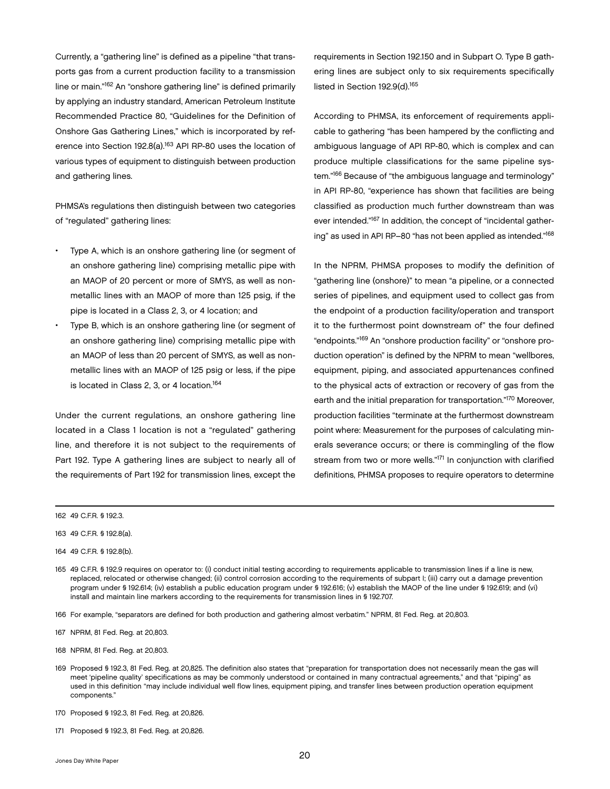Currently, a "gathering line" is defined as a pipeline "that transports gas from a current production facility to a transmission line or main."162 An "onshore gathering line" is defined primarily by applying an industry standard, American Petroleum Institute Recommended Practice 80, "Guidelines for the Definition of Onshore Gas Gathering Lines," which is incorporated by reference into Section 192.8(a).<sup>163</sup> API RP-80 uses the location of various types of equipment to distinguish between production and gathering lines.

PHMSA's regulations then distinguish between two categories of "regulated" gathering lines:

- Type A, which is an onshore gathering line (or segment of an onshore gathering line) comprising metallic pipe with an MAOP of 20 percent or more of SMYS, as well as nonmetallic lines with an MAOP of more than 125 psig, if the pipe is located in a Class 2, 3, or 4 location; and
- Type B, which is an onshore gathering line (or segment of an onshore gathering line) comprising metallic pipe with an MAOP of less than 20 percent of SMYS, as well as nonmetallic lines with an MAOP of 125 psig or less, if the pipe is located in Class 2, 3, or 4 location.<sup>164</sup>

Under the current regulations, an onshore gathering line located in a Class 1 location is not a "regulated" gathering line, and therefore it is not subject to the requirements of Part 192. Type A gathering lines are subject to nearly all of the requirements of Part 192 for transmission lines, except the

requirements in Section 192.150 and in Subpart O. Type B gathering lines are subject only to six requirements specifically listed in Section 192.9(d).<sup>165</sup>

According to PHMSA, its enforcement of requirements applicable to gathering "has been hampered by the conflicting and ambiguous language of API RP-80, which is complex and can produce multiple classifications for the same pipeline system."166 Because of "the ambiguous language and terminology" in API RP-80, "experience has shown that facilities are being classified as production much further downstream than was ever intended."<sup>167</sup> In addition, the concept of "incidental gathering" as used in API RP–80 "has not been applied as intended."168

In the NPRM, PHMSA proposes to modify the definition of "gathering line (onshore)" to mean "a pipeline, or a connected series of pipelines, and equipment used to collect gas from the endpoint of a production facility/operation and transport it to the furthermost point downstream of" the four defined "endpoints."169 An "onshore production facility" or "onshore production operation" is defined by the NPRM to mean "wellbores, equipment, piping, and associated appurtenances confined to the physical acts of extraction or recovery of gas from the earth and the initial preparation for transportation."170 Moreover, production facilities "terminate at the furthermost downstream point where: Measurement for the purposes of calculating minerals severance occurs; or there is commingling of the flow stream from two or more wells."<sup>171</sup> In conjunction with clarified definitions, PHMSA proposes to require operators to determine

166 For example, "separators are defined for both production and gathering almost verbatim." NPRM, 81 Fed. Reg. at 20,803.

<sup>162</sup> 49 C.F.R. § 192.3.

<sup>163 49</sup> C.F.R. § 192.8(a).

<sup>164</sup> 49 C.F.R. § 192.8(b).

<sup>165</sup> 49 C.F.R. § 192.9 requires on operator to: (i) conduct initial testing according to requirements applicable to transmission lines if a line is new, replaced, relocated or otherwise changed; (ii) control corrosion according to the requirements of subpart I; (iii) carry out a damage prevention program under § 192.614; (iv) establish a public education program under § 192.616; (v) establish the MAOP of the line under § 192.619; and (vi) install and maintain line markers according to the requirements for transmission lines in § 192.707.

<sup>167</sup> NPRM, 81 Fed. Reg. at 20,803.

<sup>168</sup> NPRM, 81 Fed. Reg. at 20,803.

<sup>169</sup> Proposed § 192.3, 81 Fed. Reg. at 20,825. The definition also states that "preparation for transportation does not necessarily mean the gas will meet 'pipeline quality' specifications as may be commonly understood or contained in many contractual agreements," and that "piping" as used in this definition "may include individual well flow lines, equipment piping, and transfer lines between production operation equipment components."

<sup>170</sup> Proposed § 192.3, 81 Fed. Reg. at 20,826.

<sup>171</sup> Proposed § 192.3, 81 Fed. Reg. at 20,826.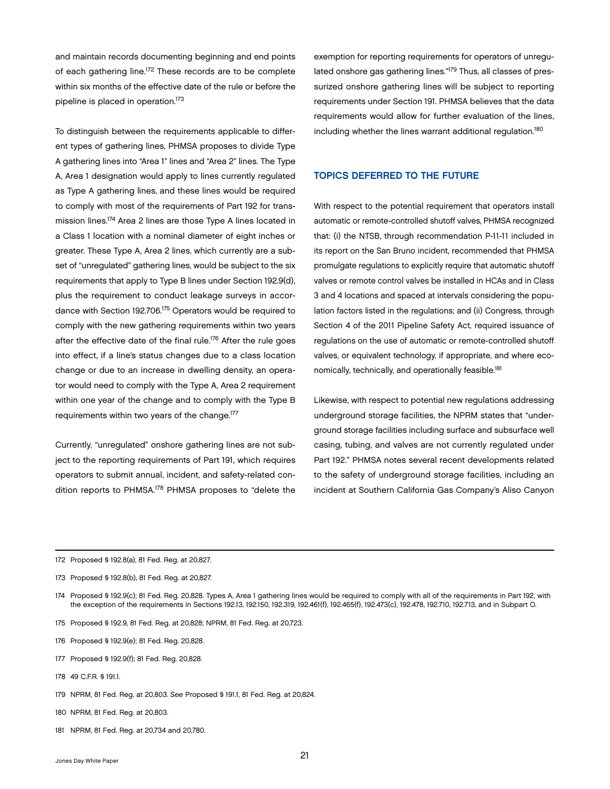<span id="page-22-0"></span>and maintain records documenting beginning and end points of each gathering line.172 These records are to be complete within six months of the effective date of the rule or before the pipeline is placed in operation.173

To distinguish between the requirements applicable to different types of gathering lines, PHMSA proposes to divide Type A gathering lines into "Area 1" lines and "Area 2" lines. The Type A, Area 1 designation would apply to lines currently regulated as Type A gathering lines, and these lines would be required to comply with most of the requirements of Part 192 for transmission lines.174 Area 2 lines are those Type A lines located in a Class 1 location with a nominal diameter of eight inches or greater. These Type A, Area 2 lines, which currently are a subset of "unregulated" gathering lines, would be subject to the six requirements that apply to Type B lines under Section 192.9(d), plus the requirement to conduct leakage surveys in accordance with Section 192.706.175 Operators would be required to comply with the new gathering requirements within two years after the effective date of the final rule.<sup>176</sup> After the rule goes into effect, if a line's status changes due to a class location change or due to an increase in dwelling density, an operator would need to comply with the Type A, Area 2 requirement within one year of the change and to comply with the Type B requirements within two years of the change.177

Currently, "unregulated" onshore gathering lines are not subject to the reporting requirements of Part 191, which requires operators to submit annual, incident, and safety-related condition reports to PHMSA.178 PHMSA proposes to "delete the exemption for reporting requirements for operators of unregulated onshore gas gathering lines."<sup>179</sup> Thus, all classes of pressurized onshore gathering lines will be subject to reporting requirements under Section 191. PHMSA believes that the data requirements would allow for further evaluation of the lines, including whether the lines warrant additional regulation.180

#### TOPICS DEFERRED TO THE FUTURE

With respect to the potential requirement that operators install automatic or remote-controlled shutoff valves, PHMSA recognized that: (i) the NTSB, through recommendation P-11-11 included in its report on the San Bruno incident, recommended that PHMSA promulgate regulations to explicitly require that automatic shutoff valves or remote control valves be installed in HCAs and in Class 3 and 4 locations and spaced at intervals considering the population factors listed in the regulations; and (ii) Congress, through Section 4 of the 2011 Pipeline Safety Act, required issuance of regulations on the use of automatic or remote-controlled shutoff valves, or equivalent technology, if appropriate, and where economically, technically, and operationally feasible.181

Likewise, with respect to potential new regulations addressing underground storage facilities, the NPRM states that "underground storage facilities including surface and subsurface well casing, tubing, and valves are not currently regulated under Part 192." PHMSA notes several recent developments related to the safety of underground storage facilities, including an incident at Southern California Gas Company's Aliso Canyon

- 175 Proposed § 192.9, 81 Fed. Reg. at 20,828; NPRM, 81 Fed. Reg. at 20,723.
- 176 Proposed § 192.9(e); 81 Fed. Reg. 20,828.
- 177 Proposed § 192.9(f); 81 Fed. Reg. 20,828.
- 178 49 C.F.R. § 191.1.
- 179 NPRM, 81 Fed. Reg. at 20,803. *See* Proposed § 191.1, 81 Fed. Reg. at 20,824.
- 180 NPRM, 81 Fed. Reg. at 20,803.
- 181 NPRM, 81 Fed. Reg. at 20,734 and 20,780.

<sup>172</sup> Proposed § 192.8(a), 81 Fed. Reg. at 20,827.

<sup>173</sup> Proposed § 192.8(b), 81 Fed. Reg. at 20,827.

<sup>174</sup> Proposed § 192.9(c); 81 Fed. Reg. 20,828. Types A, Area 1 gathering lines would be required to comply with all of the requirements in Part 192, with the exception of the requirements in Sections 192.13, 192.150, 192.319, 192.461(f), 192.465(f), 192.473(c), 192.478, 192.710, 192.713, and in Subpart O.